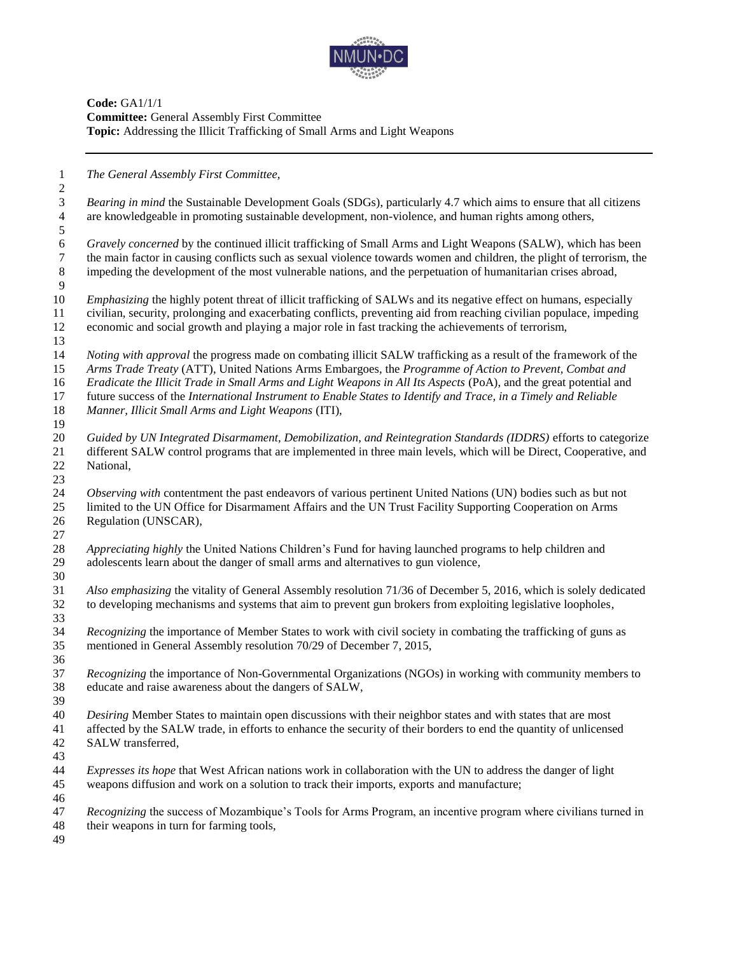

**Code:** GA1/1/1 **Committee:** General Assembly First Committee **Topic:** Addressing the Illicit Trafficking of Small Arms and Light Weapons

*The General Assembly First Committee,*

 *Bearing in mind* the Sustainable Development Goals (SDGs), particularly 4.7 which aims to ensure that all citizens are knowledgeable in promoting sustainable development, non-violence, and human rights among others, 

 *Gravely concerned* by the continued illicit trafficking of Small Arms and Light Weapons (SALW), which has been the main factor in causing conflicts such as sexual violence towards women and children, the plight of terrorism, the impeding the development of the most vulnerable nations, and the perpetuation of humanitarian crises abroad, 

 *Emphasizing* the highly potent threat of illicit trafficking of SALWs and its negative effect on humans, especially civilian, security, prolonging and exacerbating conflicts, preventing aid from reaching civilian populace, impeding economic and social growth and playing a major role in fast tracking the achievements of terrorism,

- *Noting with approval* the progress made on combating illicit SALW trafficking as a result of the framework of the *Arms Trade Treaty* (ATT), United Nations Arms Embargoes, the *Programme of Action to Prevent, Combat and Eradicate the Illicit Trade in Small Arms and Light Weapons in All Its Aspects* (PoA), and the great potential and future success of the *International Instrument to Enable States to Identify and Trace, in a Timely and Reliable*
- *Manner, Illicit Small Arms and Light Weapons* (ITI),
- *Guided by UN Integrated Disarmament, Demobilization, and Reintegration Standards (IDDRS)* efforts to categorize different SALW control programs that are implemented in three main levels, which will be Direct, Cooperative, and National,

 *Observing with* contentment the past endeavors of various pertinent United Nations (UN) bodies such as but not limited to the UN Office for Disarmament Affairs and the UN Trust Facility Supporting Cooperation on Arms Regulation (UNSCAR)*,*

 *Appreciating highly* the United Nations Children's Fund for having launched programs to help children and adolescents learn about the danger of small arms and alternatives to gun violence*,* 

 *Also emphasizing* the vitality of General Assembly resolution 71/36 of December 5, 2016, which is solely dedicated to developing mechanisms and systems that aim to prevent gun brokers from exploiting legislative loopholes, 

 *Recognizing* the importance of Member States to work with civil society in combating the trafficking of guns as mentioned in General Assembly resolution 70/29 of December 7, 2015,

 *Recognizing* the importance of Non-Governmental Organizations (NGOs) in working with community members to educate and raise awareness about the dangers of SALW,

 *Desiring* Member States to maintain open discussions with their neighbor states and with states that are most

- affected by the SALW trade, in efforts to enhance the security of their borders to end the quantity of unlicensed SALW transferred*,*
- 

 *Expresses its hope* that West African nations work in collaboration with the UN to address the danger of light weapons diffusion and work on a solution to track their imports, exports and manufacture; 

*Recognizing* the success of Mozambique's Tools for Arms Program, an incentive program where civilians turned in

- their weapons in turn for farming tools,
-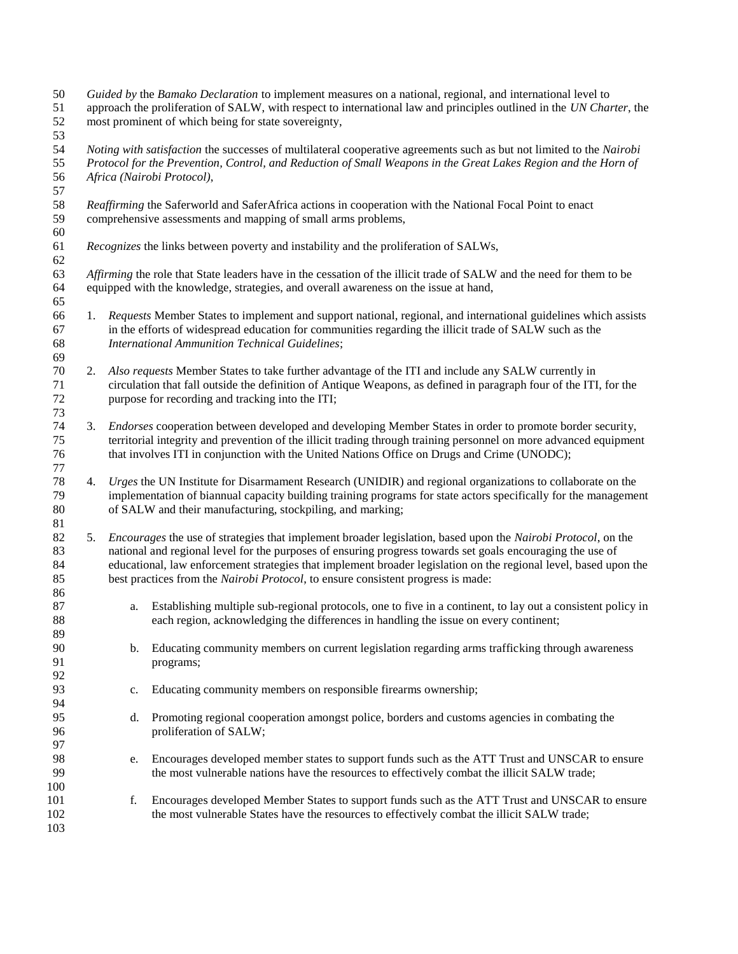*Guided by* the *Bamako Declaration* to implement measures on a national, regional, and international level to approach the proliferation of SALW, with respect to international law and principles outlined in the *UN Charter*, the most prominent of which being for state sovereignty, *Noting with satisfaction* the successes of multilateral cooperative agreements such as but not limited to the *Nairobi Protocol for the Prevention, Control, and Reduction of Small Weapons in the Great Lakes Region and the Horn of Africa (Nairobi Protocol)*, *Reaffirming* the Saferworld and SaferAfrica actions in cooperation with the National Focal Point to enact comprehensive assessments and mapping of small arms problems, *Recognizes* the links between poverty and instability and the proliferation of SALWs, *Affirming* the role that State leaders have in the cessation of the illicit trade of SALW and the need for them to be equipped with the knowledge, strategies, and overall awareness on the issue at hand, 1. *Requests* Member States to implement and support national, regional, and international guidelines which assists in the efforts of widespread education for communities regarding the illicit trade of SALW such as the *International Ammunition Technical Guidelines*; 2. *Also requests* Member States to take further advantage of the ITI and include any SALW currently in circulation that fall outside the definition of Antique Weapons, as defined in paragraph four of the ITI, for the purpose for recording and tracking into the ITI; 3. *Endorses* cooperation between developed and developing Member States in order to promote border security, territorial integrity and prevention of the illicit trading through training personnel on more advanced equipment that involves ITI in conjunction with the United Nations Office on Drugs and Crime (UNODC); 4. *Urges* the UN Institute for Disarmament Research (UNIDIR) and regional organizations to collaborate on the implementation of biannual capacity building training programs for state actors specifically for the management of SALW and their manufacturing, stockpiling, and marking; 5. *Encourages* the use of strategies that implement broader legislation, based upon the *Nairobi Protocol*, on the national and regional level for the purposes of ensuring progress towards set goals encouraging the use of educational, law enforcement strategies that implement broader legislation on the regional level, based upon the best practices from the *Nairobi Protocol*, to ensure consistent progress is made: a. Establishing multiple sub-regional protocols, one to five in a continent, to lay out a consistent policy in each region, acknowledging the differences in handling the issue on every continent; b. Educating community members on current legislation regarding arms trafficking through awareness programs; c. Educating community members on responsible firearms ownership; d. Promoting regional cooperation amongst police, borders and customs agencies in combating the proliferation of SALW; e. Encourages developed member states to support funds such as the ATT Trust and UNSCAR to ensure the most vulnerable nations have the resources to effectively combat the illicit SALW trade; f. Encourages developed Member States to support funds such as the ATT Trust and UNSCAR to ensure 102 the most vulnerable States have the resources to effectively combat the illicit SALW trade;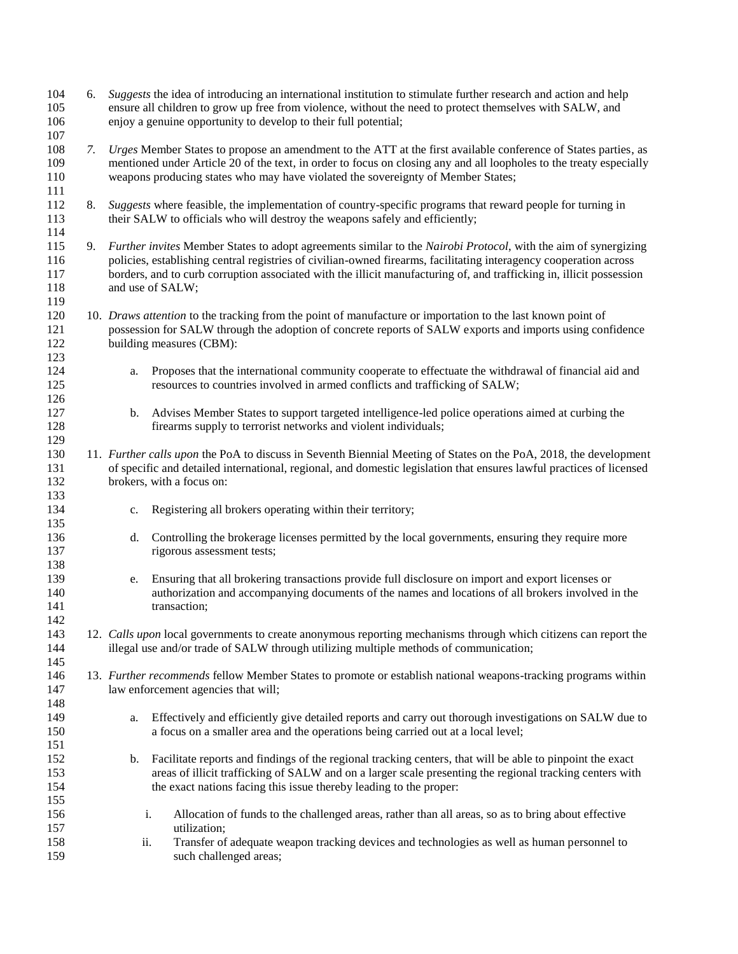6. *Suggests* the idea of introducing an international institution to stimulate further research and action and help ensure all children to grow up free from violence, without the need to protect themselves with SALW, and enjoy a genuine opportunity to develop to their full potential; *7. Urges* Member States to propose an amendment to the ATT at the first available conference of States parties, as mentioned under Article 20 of the text, in order to focus on closing any and all loopholes to the treaty especially weapons producing states who may have violated the sovereignty of Member States; 8. *Suggests* where feasible, the implementation of country-specific programs that reward people for turning in their SALW to officials who will destroy the weapons safely and efficiently; 9. *Further invites* Member States to adopt agreements similar to the *Nairobi Protocol*, with the aim of synergizing policies, establishing central registries of civilian-owned firearms, facilitating interagency cooperation across borders, and to curb corruption associated with the illicit manufacturing of, and trafficking in, illicit possession 118 and use of SALW; 10. *Draws attention* to the tracking from the point of manufacture or importation to the last known point of possession for SALW through the adoption of concrete reports of SALW exports and imports using confidence building measures (CBM): a. Proposes that the international community cooperate to effectuate the withdrawal of financial aid and resources to countries involved in armed conflicts and trafficking of SALW; b. Advises Member States to support targeted intelligence-led police operations aimed at curbing the firearms supply to terrorist networks and violent individuals; 11. *Further calls upon* the PoA to discuss in Seventh Biennial Meeting of States on the PoA, 2018, the development of specific and detailed international, regional, and domestic legislation that ensures lawful practices of licensed brokers, with a focus on: c. Registering all brokers operating within their territory; d. Controlling the brokerage licenses permitted by the local governments, ensuring they require more rigorous assessment tests; e. Ensuring that all brokering transactions provide full disclosure on import and export licenses or authorization and accompanying documents of the names and locations of all brokers involved in the 141 transaction: 12. *Calls upon* local governments to create anonymous reporting mechanisms through which citizens can report the 144 illegal use and/or trade of SALW through utilizing multiple methods of communication; 13. *Further recommends* fellow Member States to promote or establish national weapons-tracking programs within law enforcement agencies that will; a. Effectively and efficiently give detailed reports and carry out thorough investigations on SALW due to a focus on a smaller area and the operations being carried out at a local level; b. Facilitate reports and findings of the regional tracking centers, that will be able to pinpoint the exact areas of illicit trafficking of SALW and on a larger scale presenting the regional tracking centers with the exact nations facing this issue thereby leading to the proper: i. Allocation of funds to the challenged areas, rather than all areas, so as to bring about effective utilization; ii. Transfer of adequate weapon tracking devices and technologies as well as human personnel to such challenged areas;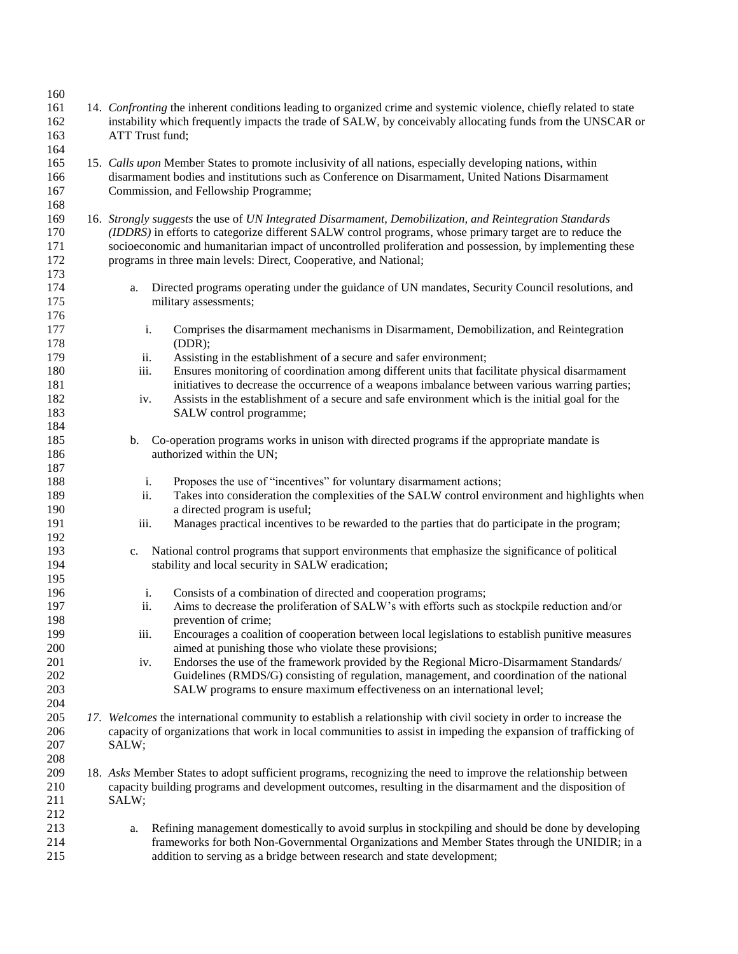| 160                      |                                                                                                                                                                                                                                                         |                                                                                                                                                                                                                                                                                                                                                                                                       |  |
|--------------------------|---------------------------------------------------------------------------------------------------------------------------------------------------------------------------------------------------------------------------------------------------------|-------------------------------------------------------------------------------------------------------------------------------------------------------------------------------------------------------------------------------------------------------------------------------------------------------------------------------------------------------------------------------------------------------|--|
| 161<br>162<br>163<br>164 | ATT Trust fund;                                                                                                                                                                                                                                         | 14. Confronting the inherent conditions leading to organized crime and systemic violence, chiefly related to state<br>instability which frequently impacts the trade of SALW, by conceivably allocating funds from the UNSCAR or                                                                                                                                                                      |  |
| 165<br>166<br>167        | 15. Calls upon Member States to promote inclusivity of all nations, especially developing nations, within<br>disarmament bodies and institutions such as Conference on Disarmament, United Nations Disarmament<br>Commission, and Fellowship Programme; |                                                                                                                                                                                                                                                                                                                                                                                                       |  |
| 168                      |                                                                                                                                                                                                                                                         |                                                                                                                                                                                                                                                                                                                                                                                                       |  |
| 169<br>170<br>171<br>172 |                                                                                                                                                                                                                                                         | 16. Strongly suggests the use of UN Integrated Disarmament, Demobilization, and Reintegration Standards<br>(IDDRS) in efforts to categorize different SALW control programs, whose primary target are to reduce the<br>socioeconomic and humanitarian impact of uncontrolled proliferation and possession, by implementing these<br>programs in three main levels: Direct, Cooperative, and National; |  |
| 173                      |                                                                                                                                                                                                                                                         |                                                                                                                                                                                                                                                                                                                                                                                                       |  |
| 174<br>175               | a.                                                                                                                                                                                                                                                      | Directed programs operating under the guidance of UN mandates, Security Council resolutions, and<br>military assessments;                                                                                                                                                                                                                                                                             |  |
| 176<br>177<br>178        | i.                                                                                                                                                                                                                                                      | Comprises the disarmament mechanisms in Disarmament, Demobilization, and Reintegration<br>(DDR);                                                                                                                                                                                                                                                                                                      |  |
| 179                      | ii.                                                                                                                                                                                                                                                     | Assisting in the establishment of a secure and safer environment;                                                                                                                                                                                                                                                                                                                                     |  |
| 180                      | iii.                                                                                                                                                                                                                                                    | Ensures monitoring of coordination among different units that facilitate physical disarmament                                                                                                                                                                                                                                                                                                         |  |
| 181                      |                                                                                                                                                                                                                                                         | initiatives to decrease the occurrence of a weapons imbalance between various warring parties;                                                                                                                                                                                                                                                                                                        |  |
| 182                      | iv.                                                                                                                                                                                                                                                     | Assists in the establishment of a secure and safe environment which is the initial goal for the                                                                                                                                                                                                                                                                                                       |  |
| 183                      |                                                                                                                                                                                                                                                         | SALW control programme;                                                                                                                                                                                                                                                                                                                                                                               |  |
| 184                      |                                                                                                                                                                                                                                                         |                                                                                                                                                                                                                                                                                                                                                                                                       |  |
| 185                      | b.                                                                                                                                                                                                                                                      | Co-operation programs works in unison with directed programs if the appropriate mandate is                                                                                                                                                                                                                                                                                                            |  |
| 186<br>187               |                                                                                                                                                                                                                                                         | authorized within the UN;                                                                                                                                                                                                                                                                                                                                                                             |  |
| 188                      | i.                                                                                                                                                                                                                                                      | Proposes the use of "incentives" for voluntary disarmament actions;                                                                                                                                                                                                                                                                                                                                   |  |
| 189                      | ii.                                                                                                                                                                                                                                                     | Takes into consideration the complexities of the SALW control environment and highlights when                                                                                                                                                                                                                                                                                                         |  |
| 190                      |                                                                                                                                                                                                                                                         | a directed program is useful;                                                                                                                                                                                                                                                                                                                                                                         |  |
| 191<br>192               | iii.                                                                                                                                                                                                                                                    | Manages practical incentives to be rewarded to the parties that do participate in the program;                                                                                                                                                                                                                                                                                                        |  |
| 193                      | c.                                                                                                                                                                                                                                                      | National control programs that support environments that emphasize the significance of political                                                                                                                                                                                                                                                                                                      |  |
| 194<br>195               |                                                                                                                                                                                                                                                         | stability and local security in SALW eradication;                                                                                                                                                                                                                                                                                                                                                     |  |
| 196                      | i.                                                                                                                                                                                                                                                      | Consists of a combination of directed and cooperation programs;                                                                                                                                                                                                                                                                                                                                       |  |
| 197                      | ii.                                                                                                                                                                                                                                                     | Aims to decrease the proliferation of SALW's with efforts such as stockpile reduction and/or                                                                                                                                                                                                                                                                                                          |  |
| 198                      |                                                                                                                                                                                                                                                         | prevention of crime;                                                                                                                                                                                                                                                                                                                                                                                  |  |
| 199                      | iii.                                                                                                                                                                                                                                                    | Encourages a coalition of cooperation between local legislations to establish punitive measures                                                                                                                                                                                                                                                                                                       |  |
| 200                      |                                                                                                                                                                                                                                                         | aimed at punishing those who violate these provisions;                                                                                                                                                                                                                                                                                                                                                |  |
| 201                      | iv.                                                                                                                                                                                                                                                     | Endorses the use of the framework provided by the Regional Micro-Disarmament Standards/                                                                                                                                                                                                                                                                                                               |  |
| 202                      |                                                                                                                                                                                                                                                         | Guidelines (RMDS/G) consisting of regulation, management, and coordination of the national                                                                                                                                                                                                                                                                                                            |  |
| 203                      |                                                                                                                                                                                                                                                         | SALW programs to ensure maximum effectiveness on an international level;                                                                                                                                                                                                                                                                                                                              |  |
| 204                      |                                                                                                                                                                                                                                                         |                                                                                                                                                                                                                                                                                                                                                                                                       |  |
| 205                      |                                                                                                                                                                                                                                                         | 17. Welcomes the international community to establish a relationship with civil society in order to increase the                                                                                                                                                                                                                                                                                      |  |
| 206                      |                                                                                                                                                                                                                                                         | capacity of organizations that work in local communities to assist in impeding the expansion of trafficking of                                                                                                                                                                                                                                                                                        |  |
| 207                      | SALW;                                                                                                                                                                                                                                                   |                                                                                                                                                                                                                                                                                                                                                                                                       |  |
| 208                      |                                                                                                                                                                                                                                                         |                                                                                                                                                                                                                                                                                                                                                                                                       |  |
| 209                      |                                                                                                                                                                                                                                                         | 18. Asks Member States to adopt sufficient programs, recognizing the need to improve the relationship between                                                                                                                                                                                                                                                                                         |  |
| 210                      |                                                                                                                                                                                                                                                         | capacity building programs and development outcomes, resulting in the disarmament and the disposition of                                                                                                                                                                                                                                                                                              |  |
| 211                      | SALW;                                                                                                                                                                                                                                                   |                                                                                                                                                                                                                                                                                                                                                                                                       |  |
| 212                      |                                                                                                                                                                                                                                                         |                                                                                                                                                                                                                                                                                                                                                                                                       |  |
| 213                      | a.                                                                                                                                                                                                                                                      | Refining management domestically to avoid surplus in stockpiling and should be done by developing                                                                                                                                                                                                                                                                                                     |  |
| 214                      |                                                                                                                                                                                                                                                         | frameworks for both Non-Governmental Organizations and Member States through the UNIDIR; in a                                                                                                                                                                                                                                                                                                         |  |
| 215                      |                                                                                                                                                                                                                                                         | addition to serving as a bridge between research and state development;                                                                                                                                                                                                                                                                                                                               |  |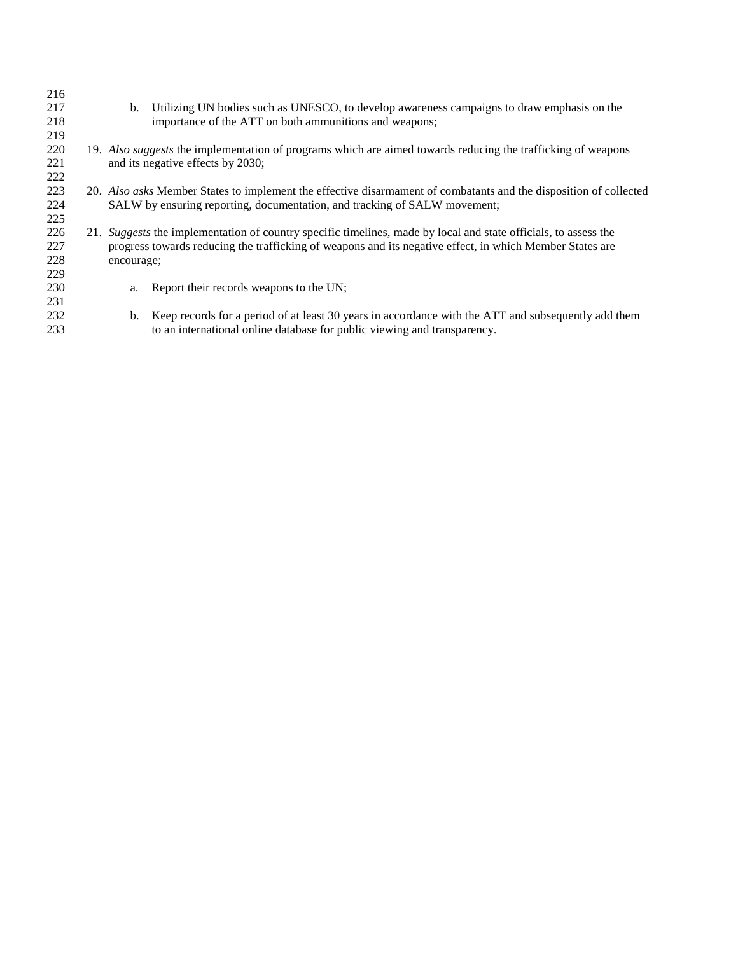| 216<br>217<br>218        | b.         | Utilizing UN bodies such as UNESCO, to develop awareness campaigns to draw emphasis on the<br>importance of the ATT on both ammunitions and weapons;                                                                        |
|--------------------------|------------|-----------------------------------------------------------------------------------------------------------------------------------------------------------------------------------------------------------------------------|
| 219                      |            |                                                                                                                                                                                                                             |
| 220<br>221               |            | 19. Also suggests the implementation of programs which are aimed towards reducing the trafficking of weapons<br>and its negative effects by 2030;                                                                           |
| 222                      |            |                                                                                                                                                                                                                             |
| 223<br>224<br>225        |            | 20. Also asks Member States to implement the effective disarmament of combatants and the disposition of collected<br>SALW by ensuring reporting, documentation, and tracking of SALW movement;                              |
| 226<br>227<br>228<br>229 | encourage; | 21. Suggests the implementation of country specific timelines, made by local and state officials, to assess the<br>progress towards reducing the trafficking of weapons and its negative effect, in which Member States are |
| 230<br>231               | a.         | Report their records weapons to the UN;                                                                                                                                                                                     |
| 232<br>233               | b.         | Keep records for a period of at least 30 years in accordance with the ATT and subsequently add them<br>to an international online database for public viewing and transparency.                                             |
|                          |            |                                                                                                                                                                                                                             |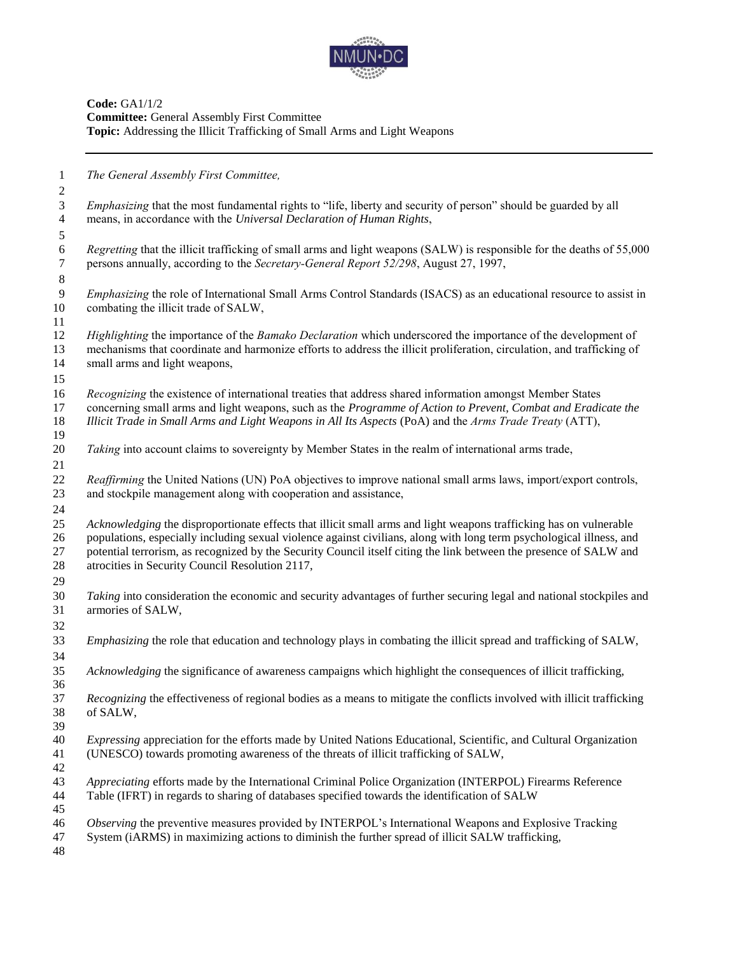

**Code:** GA1/1/2 **Committee:** General Assembly First Committee **Topic:** Addressing the Illicit Trafficking of Small Arms and Light Weapons

| $\mathbf{1}$                     | The General Assembly First Committee,                                                                                                                                                                                                                                                                                                                                                                               |
|----------------------------------|---------------------------------------------------------------------------------------------------------------------------------------------------------------------------------------------------------------------------------------------------------------------------------------------------------------------------------------------------------------------------------------------------------------------|
| $\mathbf{2}$<br>$\overline{3}$   | <i>Emphasizing</i> that the most fundamental rights to "life, liberty and security of person" should be guarded by all                                                                                                                                                                                                                                                                                              |
| $\overline{4}$<br>$\mathfrak{S}$ | means, in accordance with the Universal Declaration of Human Rights,                                                                                                                                                                                                                                                                                                                                                |
| $\sqrt{6}$<br>$\tau$             | Regretting that the illicit trafficking of small arms and light weapons (SALW) is responsible for the deaths of 55,000<br>persons annually, according to the Secretary-General Report 52/298, August 27, 1997,                                                                                                                                                                                                      |
| $\,8\,$                          |                                                                                                                                                                                                                                                                                                                                                                                                                     |
| 9<br>10                          | Emphasizing the role of International Small Arms Control Standards (ISACS) as an educational resource to assist in<br>combating the illicit trade of SALW,                                                                                                                                                                                                                                                          |
| 11<br>12                         | Highlighting the importance of the Bamako Declaration which underscored the importance of the development of                                                                                                                                                                                                                                                                                                        |
| 13<br>14                         | mechanisms that coordinate and harmonize efforts to address the illicit proliferation, circulation, and trafficking of<br>small arms and light weapons,                                                                                                                                                                                                                                                             |
| 15                               |                                                                                                                                                                                                                                                                                                                                                                                                                     |
| 16<br>17<br>18                   | Recognizing the existence of international treaties that address shared information amongst Member States<br>concerning small arms and light weapons, such as the Programme of Action to Prevent, Combat and Eradicate the<br>Illicit Trade in Small Arms and Light Weapons in All Its Aspects (PoA) and the Arms Trade Treaty (ATT),                                                                               |
| 19<br>$20\,$<br>21               | Taking into account claims to sovereignty by Member States in the realm of international arms trade,                                                                                                                                                                                                                                                                                                                |
| 22<br>23                         | Reaffirming the United Nations (UN) PoA objectives to improve national small arms laws, import/export controls,<br>and stockpile management along with cooperation and assistance,                                                                                                                                                                                                                                  |
| 24                               |                                                                                                                                                                                                                                                                                                                                                                                                                     |
| 25<br>26<br>27<br>$28\,$         | Acknowledging the disproportionate effects that illicit small arms and light weapons trafficking has on vulnerable<br>populations, especially including sexual violence against civilians, along with long term psychological illness, and<br>potential terrorism, as recognized by the Security Council itself citing the link between the presence of SALW and<br>atrocities in Security Council Resolution 2117, |
| 29                               |                                                                                                                                                                                                                                                                                                                                                                                                                     |
| 30<br>31                         | Taking into consideration the economic and security advantages of further securing legal and national stockpiles and<br>armories of SALW,                                                                                                                                                                                                                                                                           |
| 32                               |                                                                                                                                                                                                                                                                                                                                                                                                                     |
| 33<br>34                         | <i>Emphasizing</i> the role that education and technology plays in combating the illicit spread and trafficking of SALW,                                                                                                                                                                                                                                                                                            |
| 35<br>36                         | Acknowledging the significance of awareness campaigns which highlight the consequences of illicit trafficking,                                                                                                                                                                                                                                                                                                      |
| 37<br>38<br>39                   | Recognizing the effectiveness of regional bodies as a means to mitigate the conflicts involved with illicit trafficking<br>of SALW,                                                                                                                                                                                                                                                                                 |
| 40<br>41                         | <i>Expressing</i> appreciation for the efforts made by United Nations Educational, Scientific, and Cultural Organization<br>(UNESCO) towards promoting awareness of the threats of illicit trafficking of SALW,                                                                                                                                                                                                     |
| 42<br>43<br>44                   | Appreciating efforts made by the International Criminal Police Organization (INTERPOL) Firearms Reference<br>Table (IFRT) in regards to sharing of databases specified towards the identification of SALW                                                                                                                                                                                                           |
| 45<br>46<br>47<br>48             | Observing the preventive measures provided by INTERPOL's International Weapons and Explosive Tracking<br>System (iARMS) in maximizing actions to diminish the further spread of illicit SALW trafficking,                                                                                                                                                                                                           |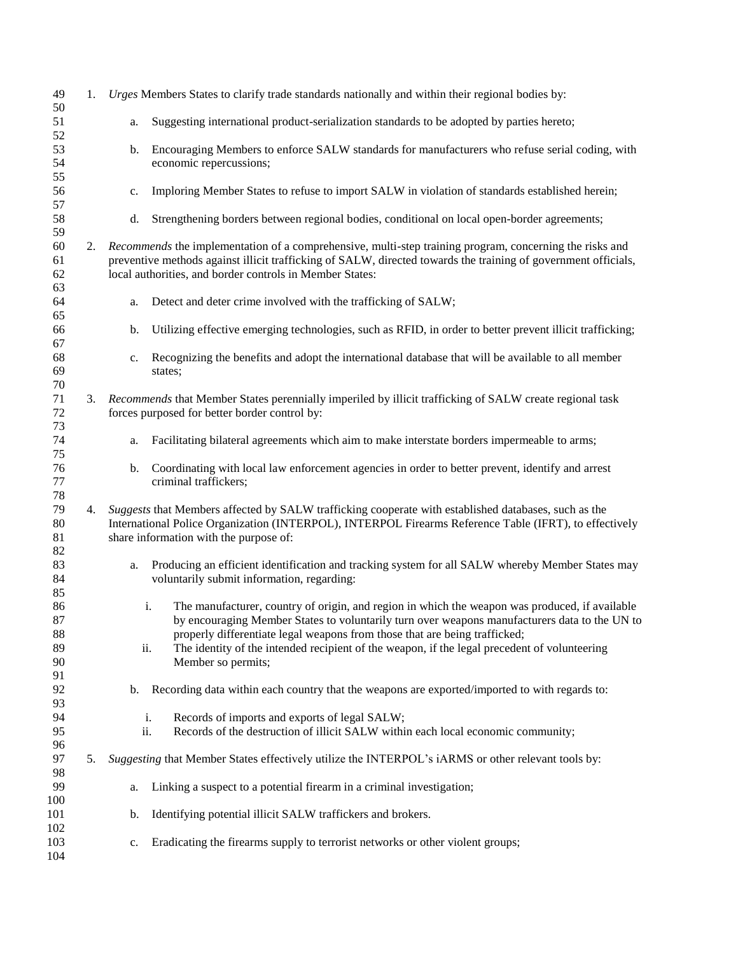| 49<br>50                         | 1. |                                                          | Urges Members States to clarify trade standards nationally and within their regional bodies by:                                                                                                                                                                                                                                                                               |
|----------------------------------|----|----------------------------------------------------------|-------------------------------------------------------------------------------------------------------------------------------------------------------------------------------------------------------------------------------------------------------------------------------------------------------------------------------------------------------------------------------|
| 51<br>52                         |    | a.                                                       | Suggesting international product-serialization standards to be adopted by parties hereto;                                                                                                                                                                                                                                                                                     |
| 53<br>54<br>55                   |    | b.<br>economic repercussions;                            | Encouraging Members to enforce SALW standards for manufacturers who refuse serial coding, with                                                                                                                                                                                                                                                                                |
| 56<br>57                         |    | c.                                                       | Imploring Member States to refuse to import SALW in violation of standards established herein;                                                                                                                                                                                                                                                                                |
| 58<br>59                         |    | d.                                                       | Strengthening borders between regional bodies, conditional on local open-border agreements;                                                                                                                                                                                                                                                                                   |
| 60<br>61<br>62<br>63             | 2. | local authorities, and border controls in Member States: | Recommends the implementation of a comprehensive, multi-step training program, concerning the risks and<br>preventive methods against illicit trafficking of SALW, directed towards the training of government officials,                                                                                                                                                     |
| 64<br>65                         |    | a.                                                       | Detect and deter crime involved with the trafficking of SALW;                                                                                                                                                                                                                                                                                                                 |
| 66<br>67                         |    | b.                                                       | Utilizing effective emerging technologies, such as RFID, in order to better prevent illicit trafficking;                                                                                                                                                                                                                                                                      |
| 68<br>69<br>70                   |    | c.<br>states;                                            | Recognizing the benefits and adopt the international database that will be available to all member                                                                                                                                                                                                                                                                            |
| 71<br>72                         | 3. | forces purposed for better border control by:            | Recommends that Member States perennially imperiled by illicit trafficking of SALW create regional task                                                                                                                                                                                                                                                                       |
| 73<br>74<br>75                   |    | a.                                                       | Facilitating bilateral agreements which aim to make interstate borders impermeable to arms;                                                                                                                                                                                                                                                                                   |
| 76<br>77<br>78                   |    | b.<br>criminal traffickers;                              | Coordinating with local law enforcement agencies in order to better prevent, identify and arrest                                                                                                                                                                                                                                                                              |
| 79<br>80<br>81<br>82             | 4. | share information with the purpose of:                   | Suggests that Members affected by SALW trafficking cooperate with established databases, such as the<br>International Police Organization (INTERPOL), INTERPOL Firearms Reference Table (IFRT), to effectively                                                                                                                                                                |
| 83<br>84<br>85                   |    | a.<br>voluntarily submit information, regarding:         | Producing an efficient identification and tracking system for all SALW whereby Member States may                                                                                                                                                                                                                                                                              |
| 86<br>87<br>88<br>89<br>90<br>91 |    | i.<br>ii.<br>Member so permits;                          | The manufacturer, country of origin, and region in which the weapon was produced, if available<br>by encouraging Member States to voluntarily turn over weapons manufacturers data to the UN to<br>properly differentiate legal weapons from those that are being trafficked;<br>The identity of the intended recipient of the weapon, if the legal precedent of volunteering |
| 92<br>93                         |    | b.                                                       | Recording data within each country that the weapons are exported/imported to with regards to:                                                                                                                                                                                                                                                                                 |
| 94<br>95<br>96                   |    | i.<br>ii.                                                | Records of imports and exports of legal SALW;<br>Records of the destruction of illicit SALW within each local economic community;                                                                                                                                                                                                                                             |
| 97<br>98                         | 5. |                                                          | Suggesting that Member States effectively utilize the INTERPOL's iARMS or other relevant tools by:                                                                                                                                                                                                                                                                            |
| 99<br>100                        |    | a.                                                       | Linking a suspect to a potential firearm in a criminal investigation;                                                                                                                                                                                                                                                                                                         |
| 101<br>102                       |    | b.                                                       | Identifying potential illicit SALW traffickers and brokers.                                                                                                                                                                                                                                                                                                                   |
| 103<br>104                       |    | c.                                                       | Eradicating the firearms supply to terrorist networks or other violent groups;                                                                                                                                                                                                                                                                                                |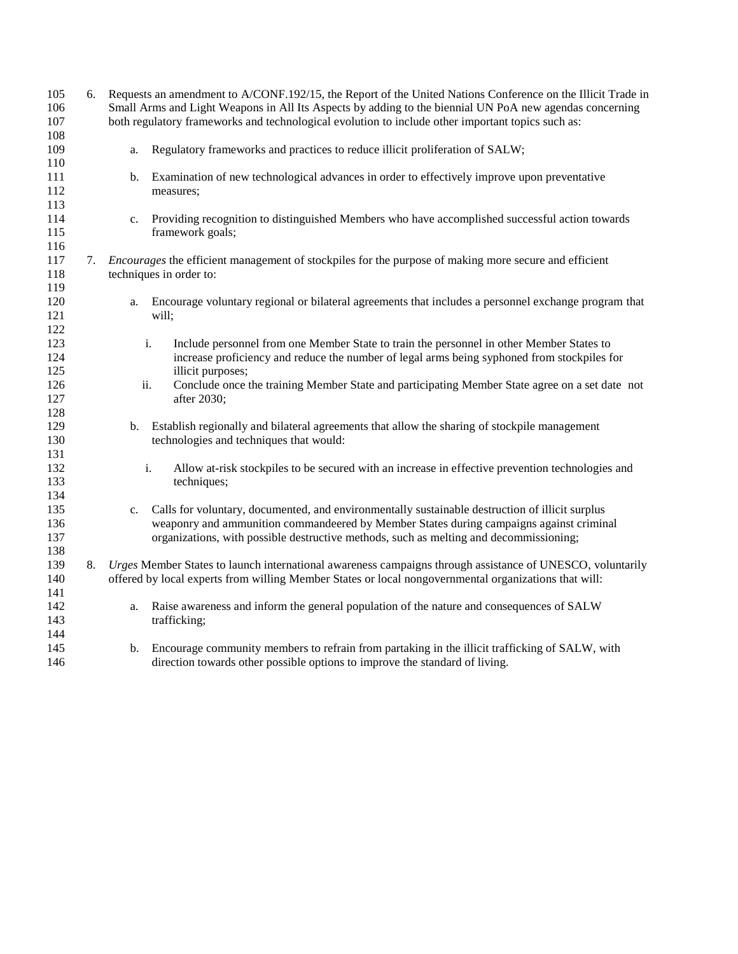| 105        | 6. | Requests an amendment to A/CONF.192/15, the Report of the United Nations Conference on the Illicit Trade in  |  |  |
|------------|----|--------------------------------------------------------------------------------------------------------------|--|--|
| 106        |    | Small Arms and Light Weapons in All Its Aspects by adding to the biennial UN PoA new agendas concerning      |  |  |
| 107<br>108 |    | both regulatory frameworks and technological evolution to include other important topics such as:            |  |  |
| 109        |    | Regulatory frameworks and practices to reduce illicit proliferation of SALW;<br>a.                           |  |  |
| 110        |    |                                                                                                              |  |  |
| 111        |    | Examination of new technological advances in order to effectively improve upon preventative<br>b.            |  |  |
| 112        |    | measures;                                                                                                    |  |  |
| 113        |    |                                                                                                              |  |  |
| 114        |    | Providing recognition to distinguished Members who have accomplished successful action towards<br>c.         |  |  |
| 115        |    | framework goals;                                                                                             |  |  |
| 116        |    |                                                                                                              |  |  |
| 117        | 7. | <i>Encourages</i> the efficient management of stockpiles for the purpose of making more secure and efficient |  |  |
| 118        |    | techniques in order to:                                                                                      |  |  |
| 119        |    |                                                                                                              |  |  |
| 120        |    | Encourage voluntary regional or bilateral agreements that includes a personnel exchange program that<br>a.   |  |  |
| 121        |    | will;                                                                                                        |  |  |
| 122        |    |                                                                                                              |  |  |
| 123        |    | i.<br>Include personnel from one Member State to train the personnel in other Member States to               |  |  |
| 124        |    | increase proficiency and reduce the number of legal arms being syphoned from stockpiles for                  |  |  |
| 125        |    | illicit purposes;                                                                                            |  |  |
| 126        |    | Conclude once the training Member State and participating Member State agree on a set date not<br>ii.        |  |  |
| 127        |    | after 2030;                                                                                                  |  |  |
| 128        |    |                                                                                                              |  |  |
| 129        |    | Establish regionally and bilateral agreements that allow the sharing of stockpile management<br>b.           |  |  |
| 130        |    | technologies and techniques that would:                                                                      |  |  |
| 131        |    |                                                                                                              |  |  |
| 132        |    | i.<br>Allow at-risk stockpiles to be secured with an increase in effective prevention technologies and       |  |  |
| 133        |    | techniques;                                                                                                  |  |  |
| 134        |    |                                                                                                              |  |  |
| 135        |    | Calls for voluntary, documented, and environmentally sustainable destruction of illicit surplus<br>c.        |  |  |
| 136        |    | weaponry and ammunition commandeered by Member States during campaigns against criminal                      |  |  |
| 137        |    | organizations, with possible destructive methods, such as melting and decommissioning;                       |  |  |
| 138        |    |                                                                                                              |  |  |
| 139        | 8. | Urges Member States to launch international awareness campaigns through assistance of UNESCO, voluntarily    |  |  |
| 140        |    | offered by local experts from willing Member States or local nongovernmental organizations that will:        |  |  |
| 141        |    |                                                                                                              |  |  |
| 142        |    | Raise awareness and inform the general population of the nature and consequences of SALW<br>a.               |  |  |
| 143        |    | trafficking;                                                                                                 |  |  |
| 144        |    |                                                                                                              |  |  |
| 145        |    | Encourage community members to refrain from partaking in the illicit trafficking of SALW, with<br>b.         |  |  |
| 146        |    | direction towards other possible options to improve the standard of living.                                  |  |  |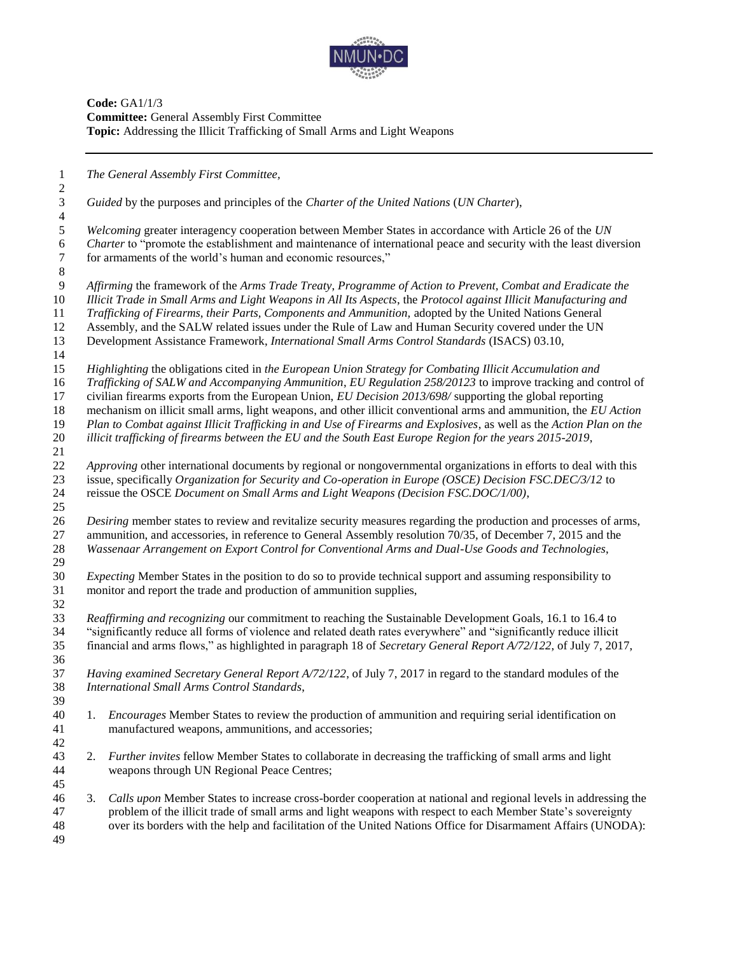

**Code:** GA1/1/3 **Committee:** General Assembly First Committee **Topic:** Addressing the Illicit Trafficking of Small Arms and Light Weapons

 *The General Assembly First Committee, Guided* by the purposes and principles of the *Charter of the United Nations* (*UN Charter*), *Welcoming* greater interagency cooperation between Member States in accordance with Article 26 of the *UN Charter* to "promote the establishment and maintenance of international peace and security with the least diversion for armaments of the world's human and economic resources," for armaments of the world's human and economic resources," *Affirming* the framework of the *Arms Trade Treaty*, *Programme of Action to Prevent, Combat and Eradicate the Illicit Trade in Small Arms and Light Weapons in All Its Aspects*, the *Protocol against Illicit Manufacturing and Trafficking of Firearms, their Parts, Components and Ammunition,* adopted by the United Nations General Assembly, and the SALW related issues under the Rule of Law and Human Security covered under the UN Development Assistance Framework, *International Small Arms Control Standards* (ISACS) 03.10, *Highlighting* the obligations cited in *the European Union Strategy for Combating Illicit Accumulation and Trafficking of SALW and Accompanying Ammunition*, *EU Regulation 258/20123* to improve tracking and control of civilian firearms exports from the European Union, *EU Decision 2013/698/* supporting the global reporting mechanism on illicit small arms, light weapons, and other illicit conventional arms and ammunition, the *EU Action Plan to Combat against Illicit Trafficking in and Use of Firearms and Explosives*, as well as the *Action Plan on the illicit trafficking of firearms between the EU and the South East Europe Region for the years 2015-2019*, *Approving* other international documents by regional or nongovernmental organizations in efforts to deal with this issue, specifically *Organization for Security and Co-operation in Europe (OSCE) Decision FSC.DEC/3/12* to reissue the OSCE *Document on Small Arms and Light Weapons (Decision FSC.DOC/1/00)*, *Desiring* member states to review and revitalize security measures regarding the production and processes of arms, ammunition, and accessories, in reference to General Assembly resolution 70/35, of December 7, 2015 and the *Wassenaar Arrangement on Export Control for Conventional Arms and Dual-Use Goods and Technologies*, *Expecting* Member States in the position to do so to provide technical support and assuming responsibility to monitor and report the trade and production of ammunition supplies, *Reaffirming and recognizing* our commitment to reaching the Sustainable Development Goals, 16.1 to 16.4 to "significantly reduce all forms of violence and related death rates everywhere" and "significantly reduce illicit financial and arms flows," as highlighted in paragraph 18 of *Secretary General Report A/72/122*, of July 7, 2017, *Having examined Secretary General Report A/72/122*, of July 7, 2017 in regard to the standard modules of the *International Small Arms Control Standards*, 1. *Encourages* Member States to review the production of ammunition and requiring serial identification on manufactured weapons, ammunitions, and accessories; 2. *Further invites* fellow Member States to collaborate in decreasing the trafficking of small arms and light weapons through UN Regional Peace Centres; 3. *Calls upon* Member States to increase cross-border cooperation at national and regional levels in addressing the problem of the illicit trade of small arms and light weapons with respect to each Member State's sovereignty over its borders with the help and facilitation of the United Nations Office for Disarmament Affairs (UNODA):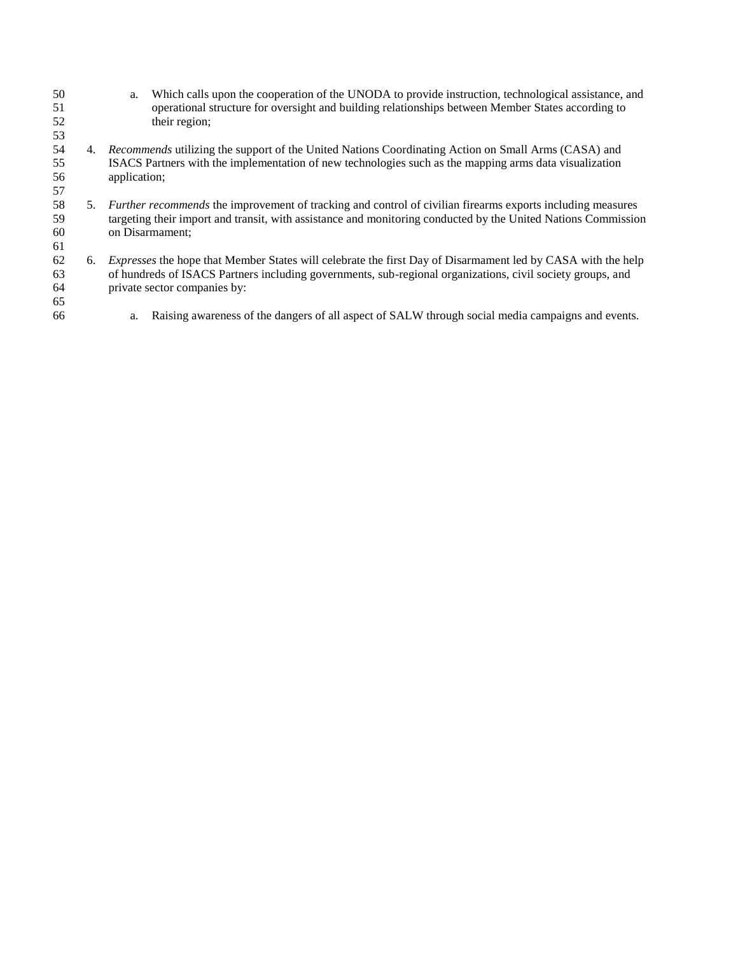- 50 a. Which calls upon the cooperation of the UNODA to provide instruction, technological assistance, and operational structure for oversight and building relationships between Member States according to operational structure for oversight and building relationships between Member States according to their region; 4. *Recommends* utilizing the support of the United Nations Coordinating Action on Small Arms (CASA) and ISACS Partners with the implementation of new technologies such as the mapping arms data visualization application; 58 5. *Further recommends* the improvement of tracking and control of civilian firearms exports including measures targeting their import and transit, with assistance and monitoring conducted by the United Nations Commissi targeting their import and transit, with assistance and monitoring conducted by the United Nations Commission on Disarmament; 6. *Expresses* the hope that Member States will celebrate the first Day of Disarmament led by CASA with the help of hundreds of ISACS Partners including governments, sub-regional organizations, civil society groups, and private sector companies by:
- 
- a. Raising awareness of the dangers of all aspect of SALW through social media campaigns and events.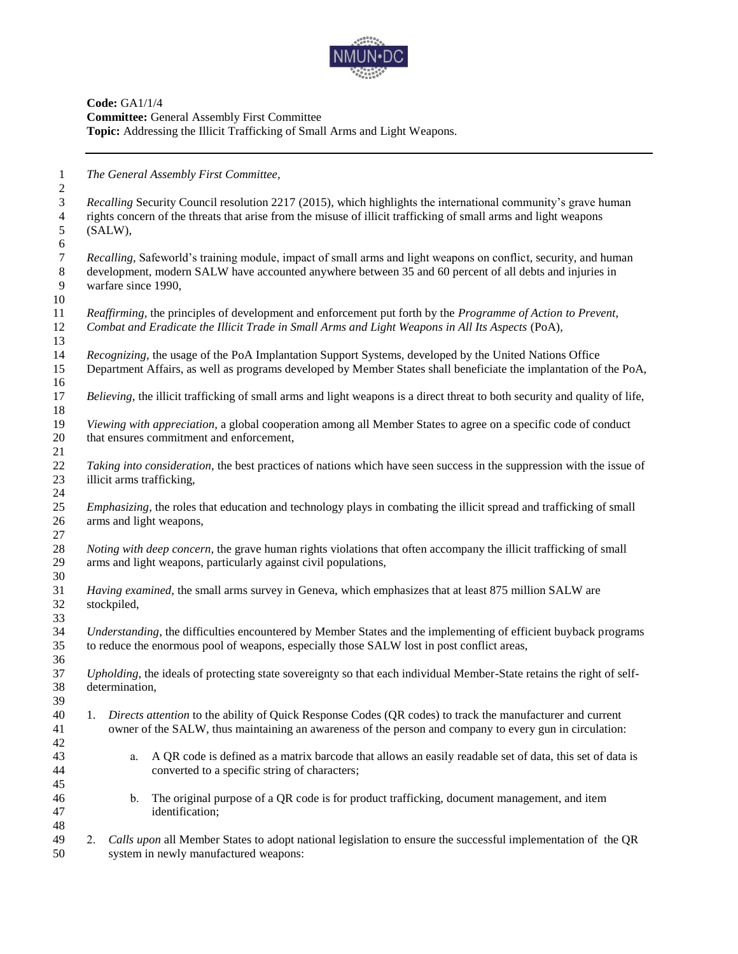

**Code:** GA1/1/4 **Committee:** General Assembly First Committee **Topic:** Addressing the Illicit Trafficking of Small Arms and Light Weapons.

 *The General Assembly First Committee, Recalling* Security Council resolution 2217 (2015), which highlights the international community's grave human rights concern of the threats that arise from the misuse of illicit trafficking of small arms and light weapons (SALW), *Recalling,* Safeworld's training module, impact of small arms and light weapons on conflict, security, and human development, modern SALW have accounted anywhere between 35 and 60 percent of all debts and injuries in warfare since 1990, *Reaffirming,* the principles of development and enforcement put forth by the *Programme of Action to Prevent, Combat and Eradicate the Illicit Trade in Small Arms and Light Weapons in All Its Aspects* (PoA), *Recognizing,* the usage of the PoA Implantation Support Systems, developed by the United Nations Office Department Affairs, as well as programs developed by Member States shall beneficiate the implantation of the PoA, *Believing,* the illicit trafficking of small arms and light weapons is a direct threat to both security and quality of life, *Viewing with appreciation,* a global cooperation among all Member States to agree on a specific code of conduct that ensures commitment and enforcement, *Taking into consideration,* the best practices of nations which have seen success in the suppression with the issue of illicit arms trafficking, *Emphasizing,* the roles that education and technology plays in combating the illicit spread and trafficking of small arms and light weapons, *Noting with deep concern,* the grave human rights violations that often accompany the illicit trafficking of small arms and light weapons, particularly against civil populations, *Having examined,* the small arms survey in Geneva, which emphasizes that at least 875 million SALW are stockpiled, *Understanding*, the difficulties encountered by Member States and the implementing of efficient buyback programs to reduce the enormous pool of weapons, especially those SALW lost in post conflict areas, *Upholding*, the ideals of protecting state sovereignty so that each individual Member-State retains the right of self- determination, 1. *Directs attention* to the ability of Quick Response Codes (QR codes) to track the manufacturer and current owner of the SALW, thus maintaining an awareness of the person and company to every gun in circulation: a. A QR code is defined as a matrix barcode that allows an easily readable set of data, this set of data is converted to a specific string of characters; b. The original purpose of a QR code is for product trafficking, document management, and item identification; 2. *Calls upon* all Member States to adopt national legislation to ensure the successful implementation of the QR system in newly manufactured weapons: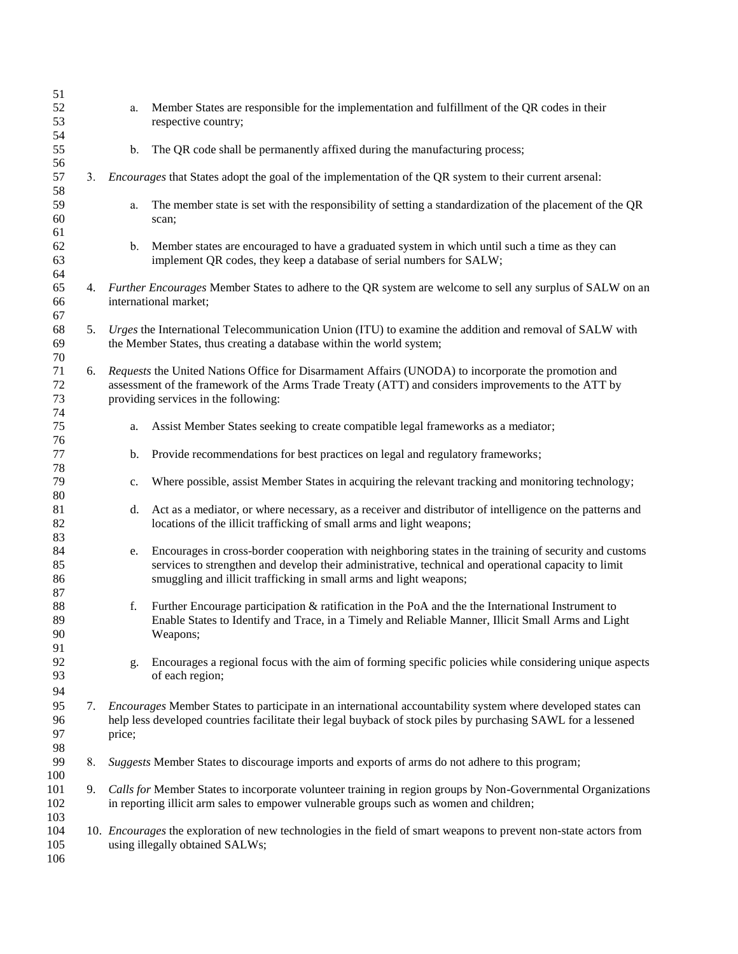| 51<br>52<br>53       |    | a.     | Member States are responsible for the implementation and fulfillment of the QR codes in their<br>respective country;                                                                                                                                                                 |
|----------------------|----|--------|--------------------------------------------------------------------------------------------------------------------------------------------------------------------------------------------------------------------------------------------------------------------------------------|
| 54<br>55<br>56       |    | b.     | The QR code shall be permanently affixed during the manufacturing process;                                                                                                                                                                                                           |
| 57<br>58             | 3. |        | <i>Encourages</i> that States adopt the goal of the implementation of the QR system to their current arsenal:                                                                                                                                                                        |
| 59<br>60             |    | a.     | The member state is set with the responsibility of setting a standardization of the placement of the QR<br>scan;                                                                                                                                                                     |
| 61<br>62<br>63<br>64 |    | b.     | Member states are encouraged to have a graduated system in which until such a time as they can<br>implement QR codes, they keep a database of serial numbers for SALW;                                                                                                               |
| 65<br>66<br>67       |    |        | 4. Further Encourages Member States to adhere to the QR system are welcome to sell any surplus of SALW on an<br>international market;                                                                                                                                                |
| 68<br>69<br>70       | 5. |        | Urges the International Telecommunication Union (ITU) to examine the addition and removal of SALW with<br>the Member States, thus creating a database within the world system;                                                                                                       |
| 71<br>72<br>73       | 6. |        | Requests the United Nations Office for Disarmament Affairs (UNODA) to incorporate the promotion and<br>assessment of the framework of the Arms Trade Treaty (ATT) and considers improvements to the ATT by<br>providing services in the following:                                   |
| 74<br>75<br>76       |    | a.     | Assist Member States seeking to create compatible legal frameworks as a mediator;                                                                                                                                                                                                    |
| 77<br>78             |    | b.     | Provide recommendations for best practices on legal and regulatory frameworks;                                                                                                                                                                                                       |
| 79<br>80             |    | c.     | Where possible, assist Member States in acquiring the relevant tracking and monitoring technology;                                                                                                                                                                                   |
| 81<br>82<br>83       |    | d.     | Act as a mediator, or where necessary, as a receiver and distributor of intelligence on the patterns and<br>locations of the illicit trafficking of small arms and light weapons;                                                                                                    |
| 84<br>85<br>86<br>87 |    | e.     | Encourages in cross-border cooperation with neighboring states in the training of security and customs<br>services to strengthen and develop their administrative, technical and operational capacity to limit<br>smuggling and illicit trafficking in small arms and light weapons; |
| 88<br>89<br>90<br>91 |    | f.     | Further Encourage participation & ratification in the PoA and the the International Instrument to<br>Enable States to Identify and Trace, in a Timely and Reliable Manner, Illicit Small Arms and Light<br>Weapons;                                                                  |
| 92<br>93<br>94       |    | g.     | Encourages a regional focus with the aim of forming specific policies while considering unique aspects<br>of each region;                                                                                                                                                            |
| 95<br>96<br>97<br>98 | 7. | price; | <i>Encourages</i> Member States to participate in an international accountability system where developed states can<br>help less developed countries facilitate their legal buyback of stock piles by purchasing SAWL for a lessened                                                 |
| 99<br>100            | 8. |        | Suggests Member States to discourage imports and exports of arms do not adhere to this program;                                                                                                                                                                                      |
| 101<br>102<br>103    | 9. |        | Calls for Member States to incorporate volunteer training in region groups by Non-Governmental Organizations<br>in reporting illicit arm sales to empower vulnerable groups such as women and children;                                                                              |
| 104<br>105<br>106    |    |        | 10. <i>Encourages</i> the exploration of new technologies in the field of smart weapons to prevent non-state actors from<br>using illegally obtained SALWs;                                                                                                                          |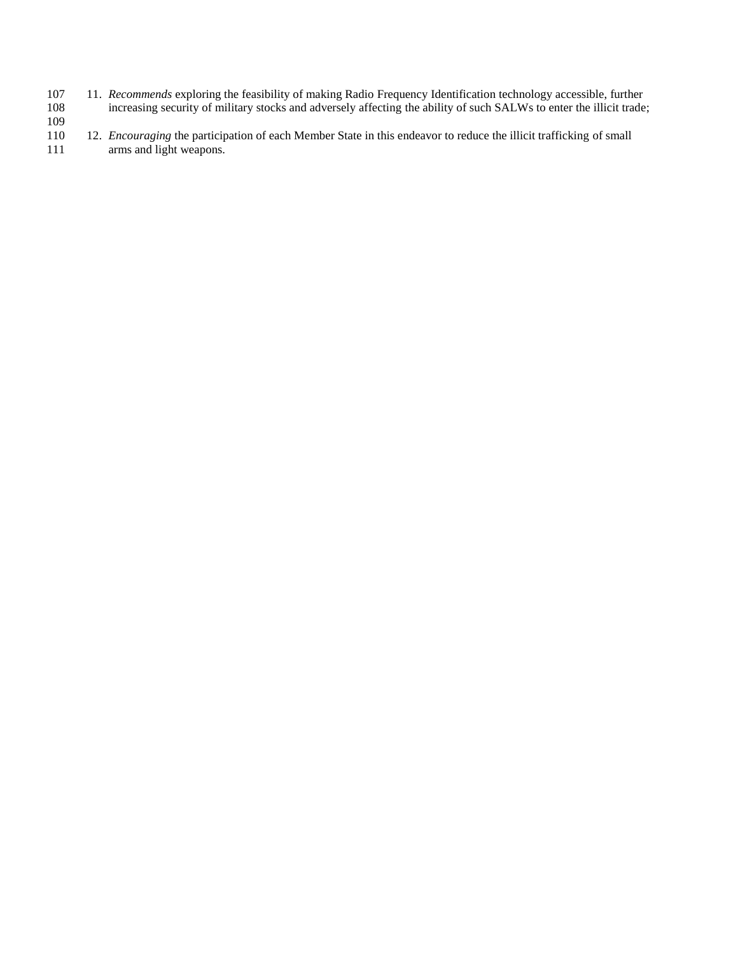107 11. *Recommends* exploring the feasibility of making Radio Frequency Identification technology accessible, further<br>108 increasing security of military stocks and adversely affecting the ability of such SALWs to enter t increasing security of military stocks and adversely affecting the ability of such SALWs to enter the illicit trade;

## $\frac{109}{110}$

12. *Encouraging* the participation of each Member State in this endeavor to reduce the illicit trafficking of small 111 arms and light weapons.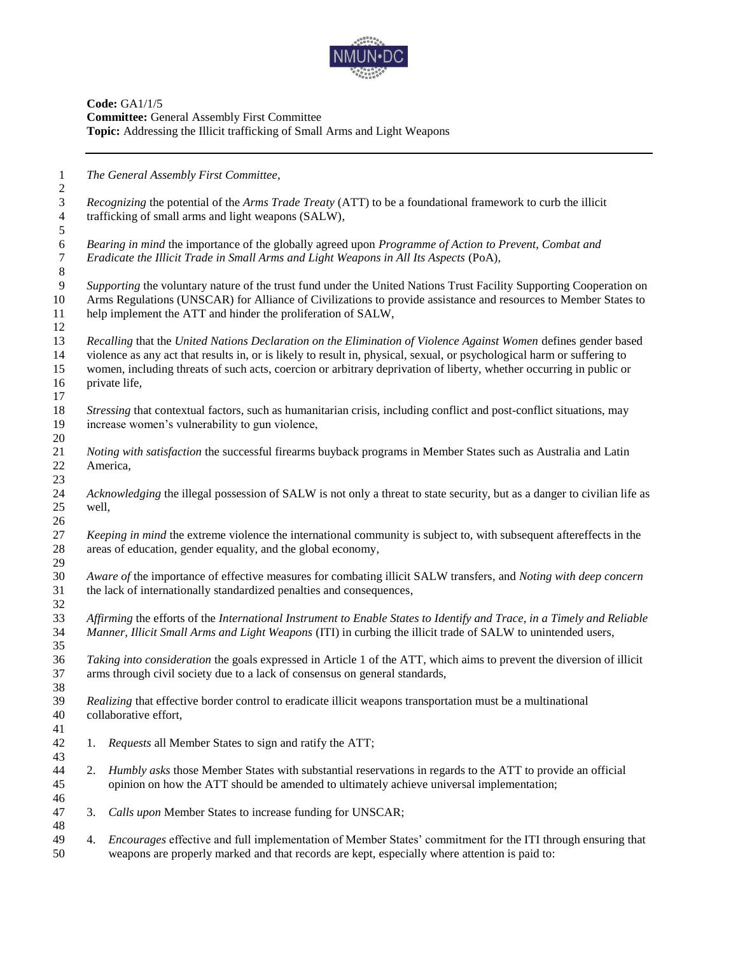

**Code:** GA1/1/5 **Committee:** General Assembly First Committee **Topic:** Addressing the Illicit trafficking of Small Arms and Light Weapons

| $\mathbf{1}$   |                                                                                                                     | The General Assembly First Committee,                                                                                    |  |  |  |
|----------------|---------------------------------------------------------------------------------------------------------------------|--------------------------------------------------------------------------------------------------------------------------|--|--|--|
| $\overline{c}$ |                                                                                                                     |                                                                                                                          |  |  |  |
| 3              |                                                                                                                     | Recognizing the potential of the Arms Trade Treaty (ATT) to be a foundational framework to curb the illicit              |  |  |  |
| $\overline{4}$ | trafficking of small arms and light weapons (SALW),                                                                 |                                                                                                                          |  |  |  |
| 5              |                                                                                                                     |                                                                                                                          |  |  |  |
| $\sqrt{6}$     |                                                                                                                     | Bearing in mind the importance of the globally agreed upon Programme of Action to Prevent, Combat and                    |  |  |  |
| $\overline{7}$ |                                                                                                                     | Eradicate the Illicit Trade in Small Arms and Light Weapons in All Its Aspects (PoA),                                    |  |  |  |
| $\,8\,$        |                                                                                                                     |                                                                                                                          |  |  |  |
| 9              |                                                                                                                     | Supporting the voluntary nature of the trust fund under the United Nations Trust Facility Supporting Cooperation on      |  |  |  |
| 10             |                                                                                                                     | Arms Regulations (UNSCAR) for Alliance of Civilizations to provide assistance and resources to Member States to          |  |  |  |
| 11             |                                                                                                                     | help implement the ATT and hinder the proliferation of SALW,                                                             |  |  |  |
| 12             |                                                                                                                     |                                                                                                                          |  |  |  |
| 13             |                                                                                                                     | Recalling that the United Nations Declaration on the Elimination of Violence Against Women defines gender based          |  |  |  |
| 14             |                                                                                                                     | violence as any act that results in, or is likely to result in, physical, sexual, or psychological harm or suffering to  |  |  |  |
| 15             |                                                                                                                     | women, including threats of such acts, coercion or arbitrary deprivation of liberty, whether occurring in public or      |  |  |  |
| 16             |                                                                                                                     | private life,                                                                                                            |  |  |  |
| 17             |                                                                                                                     |                                                                                                                          |  |  |  |
|                |                                                                                                                     |                                                                                                                          |  |  |  |
| 18             |                                                                                                                     | Stressing that contextual factors, such as humanitarian crisis, including conflict and post-conflict situations, may     |  |  |  |
| 19             |                                                                                                                     | increase women's vulnerability to gun violence,                                                                          |  |  |  |
| 20             |                                                                                                                     |                                                                                                                          |  |  |  |
| 21             |                                                                                                                     | Noting with satisfaction the successful firearms buyback programs in Member States such as Australia and Latin           |  |  |  |
| 22             |                                                                                                                     | America,                                                                                                                 |  |  |  |
| 23             |                                                                                                                     |                                                                                                                          |  |  |  |
| 24             |                                                                                                                     | Acknowledging the illegal possession of SALW is not only a threat to state security, but as a danger to civilian life as |  |  |  |
| 25             | well,                                                                                                               |                                                                                                                          |  |  |  |
| 26             |                                                                                                                     |                                                                                                                          |  |  |  |
| 27             | Keeping in mind the extreme violence the international community is subject to, with subsequent aftereffects in the |                                                                                                                          |  |  |  |
| 28             |                                                                                                                     | areas of education, gender equality, and the global economy,                                                             |  |  |  |
| 29             |                                                                                                                     |                                                                                                                          |  |  |  |
| 30             |                                                                                                                     | Aware of the importance of effective measures for combating illicit SALW transfers, and Noting with deep concern         |  |  |  |
| 31             | the lack of internationally standardized penalties and consequences,                                                |                                                                                                                          |  |  |  |
| 32             |                                                                                                                     |                                                                                                                          |  |  |  |
| 33             |                                                                                                                     | Affirming the efforts of the International Instrument to Enable States to Identify and Trace, in a Timely and Reliable   |  |  |  |
| 34             | Manner, Illicit Small Arms and Light Weapons (ITI) in curbing the illicit trade of SALW to unintended users,        |                                                                                                                          |  |  |  |
| 35             |                                                                                                                     |                                                                                                                          |  |  |  |
| 36             |                                                                                                                     | Taking into consideration the goals expressed in Article 1 of the ATT, which aims to prevent the diversion of illicit    |  |  |  |
| 37             | arms through civil society due to a lack of consensus on general standards,                                         |                                                                                                                          |  |  |  |
| 38             |                                                                                                                     |                                                                                                                          |  |  |  |
| 39             |                                                                                                                     | Realizing that effective border control to eradicate illicit weapons transportation must be a multinational              |  |  |  |
| 40             |                                                                                                                     | collaborative effort,                                                                                                    |  |  |  |
|                |                                                                                                                     |                                                                                                                          |  |  |  |
| 41             |                                                                                                                     |                                                                                                                          |  |  |  |
| 42             | 1.                                                                                                                  | Requests all Member States to sign and ratify the ATT;                                                                   |  |  |  |
| 43             |                                                                                                                     |                                                                                                                          |  |  |  |
| 44             | 2.                                                                                                                  | Humbly asks those Member States with substantial reservations in regards to the ATT to provide an official               |  |  |  |
| 45             |                                                                                                                     | opinion on how the ATT should be amended to ultimately achieve universal implementation;                                 |  |  |  |
| 46             |                                                                                                                     |                                                                                                                          |  |  |  |
| 47             | 3.                                                                                                                  | Calls upon Member States to increase funding for UNSCAR;                                                                 |  |  |  |
| 48             |                                                                                                                     |                                                                                                                          |  |  |  |
| 49             | 4.                                                                                                                  | <i>Encourages</i> effective and full implementation of Member States' commitment for the ITI through ensuring that       |  |  |  |
| 50             |                                                                                                                     | weapons are properly marked and that records are kept, especially where attention is paid to:                            |  |  |  |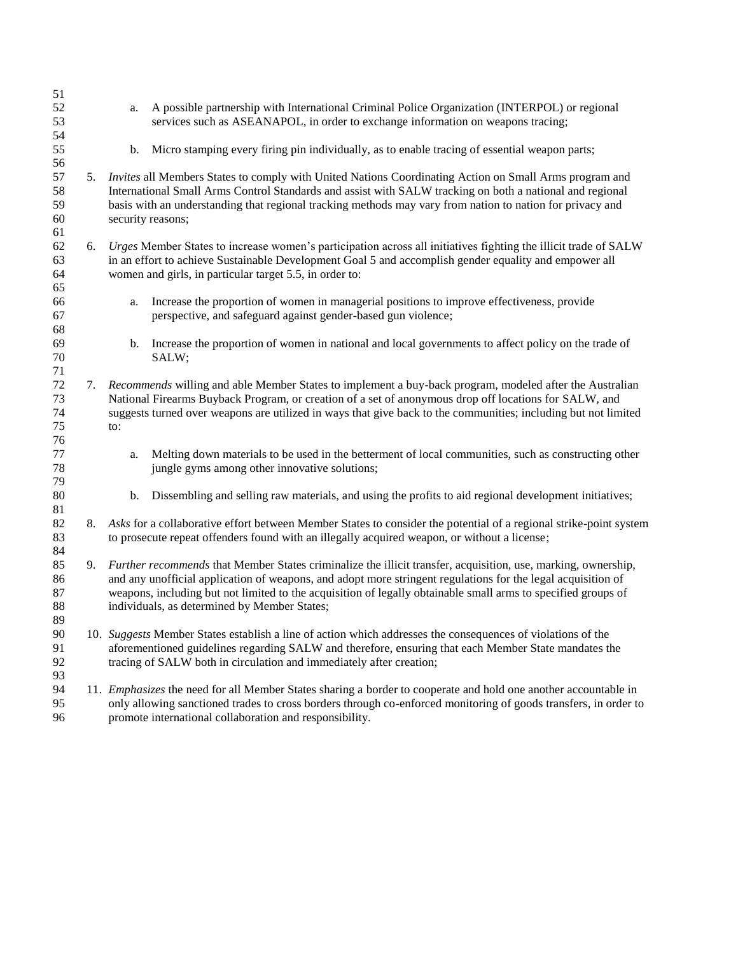| 51<br>52<br>53<br>54       |    | a.                                                                                                                                                                                                                                                                                                                                                                                             | A possible partnership with International Criminal Police Organization (INTERPOL) or regional<br>services such as ASEANAPOL, in order to exchange information on weapons tracing;                                                                                                                                                     |
|----------------------------|----|------------------------------------------------------------------------------------------------------------------------------------------------------------------------------------------------------------------------------------------------------------------------------------------------------------------------------------------------------------------------------------------------|---------------------------------------------------------------------------------------------------------------------------------------------------------------------------------------------------------------------------------------------------------------------------------------------------------------------------------------|
| 55<br>56                   |    | b.                                                                                                                                                                                                                                                                                                                                                                                             | Micro stamping every firing pin individually, as to enable tracing of essential weapon parts;                                                                                                                                                                                                                                         |
| 57<br>58<br>59<br>60<br>61 | 5. | security reasons;                                                                                                                                                                                                                                                                                                                                                                              | Invites all Members States to comply with United Nations Coordinating Action on Small Arms program and<br>International Small Arms Control Standards and assist with SALW tracking on both a national and regional<br>basis with an understanding that regional tracking methods may vary from nation to nation for privacy and       |
| 62<br>63<br>64<br>65       | 6. |                                                                                                                                                                                                                                                                                                                                                                                                | Urges Member States to increase women's participation across all initiatives fighting the illicit trade of SALW<br>in an effort to achieve Sustainable Development Goal 5 and accomplish gender equality and empower all<br>women and girls, in particular target 5.5, in order to:                                                   |
| 66<br>67<br>68             |    | a.                                                                                                                                                                                                                                                                                                                                                                                             | Increase the proportion of women in managerial positions to improve effectiveness, provide<br>perspective, and safeguard against gender-based gun violence;                                                                                                                                                                           |
| 69<br>70<br>71             |    | b.                                                                                                                                                                                                                                                                                                                                                                                             | Increase the proportion of women in national and local governments to affect policy on the trade of<br>SALW;                                                                                                                                                                                                                          |
| 72<br>73<br>74<br>75<br>76 |    | to:                                                                                                                                                                                                                                                                                                                                                                                            | 7. Recommends willing and able Member States to implement a buy-back program, modeled after the Australian<br>National Firearms Buyback Program, or creation of a set of anonymous drop off locations for SALW, and<br>suggests turned over weapons are utilized in ways that give back to the communities; including but not limited |
| 77<br>78<br>79             |    | a.                                                                                                                                                                                                                                                                                                                                                                                             | Melting down materials to be used in the betterment of local communities, such as constructing other<br>jungle gyms among other innovative solutions;                                                                                                                                                                                 |
| 80<br>81                   |    | b.                                                                                                                                                                                                                                                                                                                                                                                             | Dissembling and selling raw materials, and using the profits to aid regional development initiatives;                                                                                                                                                                                                                                 |
| 82<br>83<br>84             | 8. |                                                                                                                                                                                                                                                                                                                                                                                                | Asks for a collaborative effort between Member States to consider the potential of a regional strike-point system<br>to prosecute repeat offenders found with an illegally acquired weapon, or without a license;                                                                                                                     |
| 85<br>86<br>87<br>88<br>89 | 9. | Further recommends that Member States criminalize the illicit transfer, acquisition, use, marking, ownership,<br>and any unofficial application of weapons, and adopt more stringent regulations for the legal acquisition of<br>weapons, including but not limited to the acquisition of legally obtainable small arms to specified groups of<br>individuals, as determined by Member States; |                                                                                                                                                                                                                                                                                                                                       |
| 90<br>91<br>92<br>93       |    | 10. Suggests Member States establish a line of action which addresses the consequences of violations of the<br>aforementioned guidelines regarding SALW and therefore, ensuring that each Member State mandates the<br>tracing of SALW both in circulation and immediately after creation;                                                                                                     |                                                                                                                                                                                                                                                                                                                                       |
| 94<br>95<br>96             |    |                                                                                                                                                                                                                                                                                                                                                                                                | 11. Emphasizes the need for all Member States sharing a border to cooperate and hold one another accountable in<br>only allowing sanctioned trades to cross borders through co-enforced monitoring of goods transfers, in order to<br>promote international collaboration and responsibility.                                         |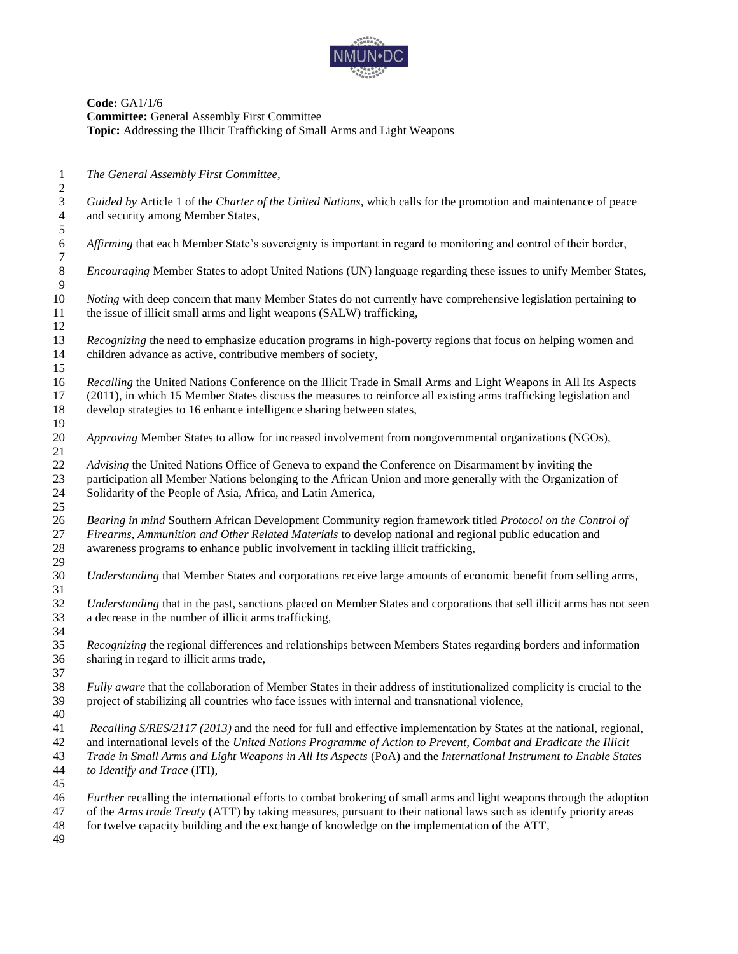

| $\mathbf{1}$                    | The General Assembly First Committee,                                                                                                                 |
|---------------------------------|-------------------------------------------------------------------------------------------------------------------------------------------------------|
| $\mathbf{2}$<br>$\mathfrak{Z}$  |                                                                                                                                                       |
|                                 | Guided by Article 1 of the Charter of the United Nations, which calls for the promotion and maintenance of peace<br>and security among Member States, |
| $\overline{4}$<br>$\mathfrak s$ |                                                                                                                                                       |
| $\sqrt{6}$                      | Affirming that each Member State's sovereignty is important in regard to monitoring and control of their border,                                      |
| $\overline{7}$                  |                                                                                                                                                       |
| $\, 8$                          | Encouraging Member States to adopt United Nations (UN) language regarding these issues to unify Member States,                                        |
| $\overline{9}$                  |                                                                                                                                                       |
| 10                              | Noting with deep concern that many Member States do not currently have comprehensive legislation pertaining to                                        |
| 11                              | the issue of illicit small arms and light weapons (SALW) trafficking,                                                                                 |
| 12                              |                                                                                                                                                       |
| 13                              | Recognizing the need to emphasize education programs in high-poverty regions that focus on helping women and                                          |
| 14                              | children advance as active, contributive members of society,                                                                                          |
| 15                              |                                                                                                                                                       |
| 16                              | Recalling the United Nations Conference on the Illicit Trade in Small Arms and Light Weapons in All Its Aspects                                       |
| 17                              | (2011), in which 15 Member States discuss the measures to reinforce all existing arms trafficking legislation and                                     |
| 18                              | develop strategies to 16 enhance intelligence sharing between states,                                                                                 |
| 19                              |                                                                                                                                                       |
| $20\,$                          | Approving Member States to allow for increased involvement from nongovernmental organizations (NGOs),                                                 |
| 21                              |                                                                                                                                                       |
| 22                              | Advising the United Nations Office of Geneva to expand the Conference on Disarmament by inviting the                                                  |
| 23                              | participation all Member Nations belonging to the African Union and more generally with the Organization of                                           |
| 24                              | Solidarity of the People of Asia, Africa, and Latin America,                                                                                          |
| 25                              |                                                                                                                                                       |
| 26                              | Bearing in mind Southern African Development Community region framework titled Protocol on the Control of                                             |
| 27                              | Firearms, Ammunition and Other Related Materials to develop national and regional public education and                                                |
| 28                              | awareness programs to enhance public involvement in tackling illicit trafficking,                                                                     |
| 29                              |                                                                                                                                                       |
| 30                              | Understanding that Member States and corporations receive large amounts of economic benefit from selling arms,                                        |
| 31                              |                                                                                                                                                       |
| 32                              | Understanding that in the past, sanctions placed on Member States and corporations that sell illicit arms has not seen                                |
| 33                              | a decrease in the number of illicit arms trafficking,                                                                                                 |
| 34                              |                                                                                                                                                       |
| 35                              | Recognizing the regional differences and relationships between Members States regarding borders and information                                       |
| 36                              | sharing in regard to illicit arms trade,                                                                                                              |
| 37                              |                                                                                                                                                       |
| 38                              | Fully aware that the collaboration of Member States in their address of institutionalized complicity is crucial to the                                |
| 39                              | project of stabilizing all countries who face issues with internal and transnational violence,                                                        |
| 40                              |                                                                                                                                                       |
| 41                              | Recalling S/RES/2117 (2013) and the need for full and effective implementation by States at the national, regional,                                   |
| 42                              | and international levels of the United Nations Programme of Action to Prevent, Combat and Eradicate the Illicit                                       |
| 43                              | Trade in Small Arms and Light Weapons in All Its Aspects (PoA) and the International Instrument to Enable States                                      |
| 44                              | to Identify and Trace (ITI),                                                                                                                          |
| 45                              |                                                                                                                                                       |
| 46                              | Further recalling the international efforts to combat brokering of small arms and light weapons through the adoption                                  |
| 47                              | of the Arms trade Treaty (ATT) by taking measures, pursuant to their national laws such as identify priority areas                                    |
| 48                              | for twelve capacity building and the exchange of knowledge on the implementation of the ATT,                                                          |
| 49                              |                                                                                                                                                       |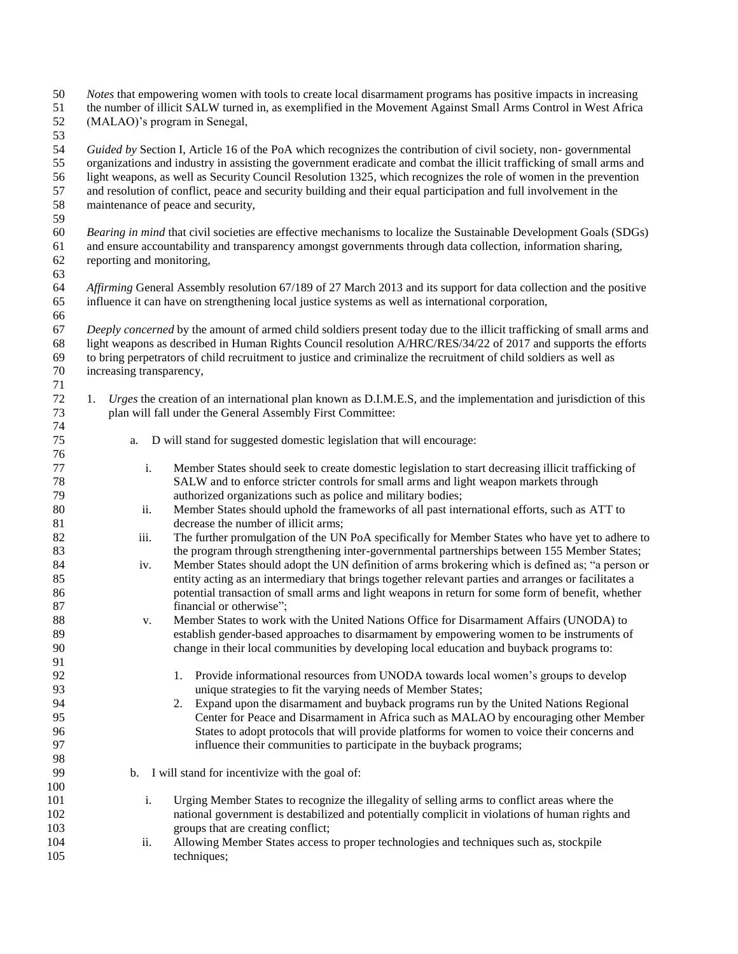| 51<br>52<br>53 |                                                                                                                                                                                                                                                                 | the number of illicit SALW turned in, as exemplified in the Movement Against Small Arms Control in West Africa<br>(MALAO)'s program in Senegal,                                                                                                                                                                                                              |  |  |
|----------------|-----------------------------------------------------------------------------------------------------------------------------------------------------------------------------------------------------------------------------------------------------------------|--------------------------------------------------------------------------------------------------------------------------------------------------------------------------------------------------------------------------------------------------------------------------------------------------------------------------------------------------------------|--|--|
| 54<br>55<br>56 |                                                                                                                                                                                                                                                                 | Guided by Section I, Article 16 of the PoA which recognizes the contribution of civil society, non-governmental<br>organizations and industry in assisting the government eradicate and combat the illicit trafficking of small arms and<br>light weapons, as well as Security Council Resolution 1325, which recognizes the role of women in the prevention |  |  |
| 57<br>58<br>59 |                                                                                                                                                                                                                                                                 | and resolution of conflict, peace and security building and their equal participation and full involvement in the<br>maintenance of peace and security,                                                                                                                                                                                                      |  |  |
| 60<br>61<br>62 | Bearing in mind that civil societies are effective mechanisms to localize the Sustainable Development Goals (SDGs)<br>and ensure accountability and transparency amongst governments through data collection, information sharing,<br>reporting and monitoring, |                                                                                                                                                                                                                                                                                                                                                              |  |  |
| 63             |                                                                                                                                                                                                                                                                 |                                                                                                                                                                                                                                                                                                                                                              |  |  |
| 64<br>65       |                                                                                                                                                                                                                                                                 | Affirming General Assembly resolution 67/189 of 27 March 2013 and its support for data collection and the positive<br>influence it can have on strengthening local justice systems as well as international corporation,                                                                                                                                     |  |  |
| 66<br>67       |                                                                                                                                                                                                                                                                 | Deeply concerned by the amount of armed child soldiers present today due to the illicit trafficking of small arms and                                                                                                                                                                                                                                        |  |  |
| 68<br>69       |                                                                                                                                                                                                                                                                 | light weapons as described in Human Rights Council resolution A/HRC/RES/34/22 of 2017 and supports the efforts<br>to bring perpetrators of child recruitment to justice and criminalize the recruitment of child soldiers as well as                                                                                                                         |  |  |
| $70\,$         | increasing transparency,                                                                                                                                                                                                                                        |                                                                                                                                                                                                                                                                                                                                                              |  |  |
| 71<br>72       | 1.                                                                                                                                                                                                                                                              | Urges the creation of an international plan known as D.I.M.E.S, and the implementation and jurisdiction of this                                                                                                                                                                                                                                              |  |  |
| 73             |                                                                                                                                                                                                                                                                 | plan will fall under the General Assembly First Committee:                                                                                                                                                                                                                                                                                                   |  |  |
| 74             |                                                                                                                                                                                                                                                                 |                                                                                                                                                                                                                                                                                                                                                              |  |  |
| 75<br>76       | a.                                                                                                                                                                                                                                                              | D will stand for suggested domestic legislation that will encourage:                                                                                                                                                                                                                                                                                         |  |  |
| 77             | i.                                                                                                                                                                                                                                                              | Member States should seek to create domestic legislation to start decreasing illicit trafficking of                                                                                                                                                                                                                                                          |  |  |
| $78\,$         |                                                                                                                                                                                                                                                                 | SALW and to enforce stricter controls for small arms and light weapon markets through                                                                                                                                                                                                                                                                        |  |  |
| 79             |                                                                                                                                                                                                                                                                 | authorized organizations such as police and military bodies;                                                                                                                                                                                                                                                                                                 |  |  |
| 80             | ii.                                                                                                                                                                                                                                                             | Member States should uphold the frameworks of all past international efforts, such as ATT to                                                                                                                                                                                                                                                                 |  |  |
| 81             |                                                                                                                                                                                                                                                                 | decrease the number of illicit arms;                                                                                                                                                                                                                                                                                                                         |  |  |
| 82             | iii.                                                                                                                                                                                                                                                            | The further promulgation of the UN PoA specifically for Member States who have yet to adhere to                                                                                                                                                                                                                                                              |  |  |
| 83<br>84       |                                                                                                                                                                                                                                                                 | the program through strengthening inter-governmental partnerships between 155 Member States;<br>Member States should adopt the UN definition of arms brokering which is defined as; "a person or                                                                                                                                                             |  |  |
| 85<br>86       | iv.                                                                                                                                                                                                                                                             | entity acting as an intermediary that brings together relevant parties and arranges or facilitates a<br>potential transaction of small arms and light weapons in return for some form of benefit, whether                                                                                                                                                    |  |  |
| 87             |                                                                                                                                                                                                                                                                 | financial or otherwise";                                                                                                                                                                                                                                                                                                                                     |  |  |
| 88             | v.                                                                                                                                                                                                                                                              | Member States to work with the United Nations Office for Disarmament Affairs (UNODA) to                                                                                                                                                                                                                                                                      |  |  |
| 89             |                                                                                                                                                                                                                                                                 | establish gender-based approaches to disarmament by empowering women to be instruments of                                                                                                                                                                                                                                                                    |  |  |
| 90             |                                                                                                                                                                                                                                                                 | change in their local communities by developing local education and buyback programs to:                                                                                                                                                                                                                                                                     |  |  |
| 91             |                                                                                                                                                                                                                                                                 |                                                                                                                                                                                                                                                                                                                                                              |  |  |
| 92             |                                                                                                                                                                                                                                                                 | Provide informational resources from UNODA towards local women's groups to develop<br>1.                                                                                                                                                                                                                                                                     |  |  |
| 93<br>94       |                                                                                                                                                                                                                                                                 | unique strategies to fit the varying needs of Member States;<br>Expand upon the disarmament and buyback programs run by the United Nations Regional                                                                                                                                                                                                          |  |  |
| 95             |                                                                                                                                                                                                                                                                 | 2.<br>Center for Peace and Disarmament in Africa such as MALAO by encouraging other Member                                                                                                                                                                                                                                                                   |  |  |
| 96             |                                                                                                                                                                                                                                                                 | States to adopt protocols that will provide platforms for women to voice their concerns and                                                                                                                                                                                                                                                                  |  |  |
| 97             |                                                                                                                                                                                                                                                                 | influence their communities to participate in the buyback programs;                                                                                                                                                                                                                                                                                          |  |  |
| 98             |                                                                                                                                                                                                                                                                 |                                                                                                                                                                                                                                                                                                                                                              |  |  |
| 99             |                                                                                                                                                                                                                                                                 | b. I will stand for incentivize with the goal of:                                                                                                                                                                                                                                                                                                            |  |  |
| 100            |                                                                                                                                                                                                                                                                 |                                                                                                                                                                                                                                                                                                                                                              |  |  |
| 101            | i.                                                                                                                                                                                                                                                              | Urging Member States to recognize the illegality of selling arms to conflict areas where the                                                                                                                                                                                                                                                                 |  |  |
| 102<br>103     |                                                                                                                                                                                                                                                                 | national government is destabilized and potentially complicit in violations of human rights and<br>groups that are creating conflict;                                                                                                                                                                                                                        |  |  |
| 104            | ii.                                                                                                                                                                                                                                                             | Allowing Member States access to proper technologies and techniques such as, stockpile                                                                                                                                                                                                                                                                       |  |  |
| 105            |                                                                                                                                                                                                                                                                 | techniques;                                                                                                                                                                                                                                                                                                                                                  |  |  |
|                |                                                                                                                                                                                                                                                                 |                                                                                                                                                                                                                                                                                                                                                              |  |  |

50 *Notes* that empowering women with tools to create local disarmament programs has positive impacts in increasing<br>51 the number of illicit SALW turned in, as exemplified in the Movement Against Small Arms Control in West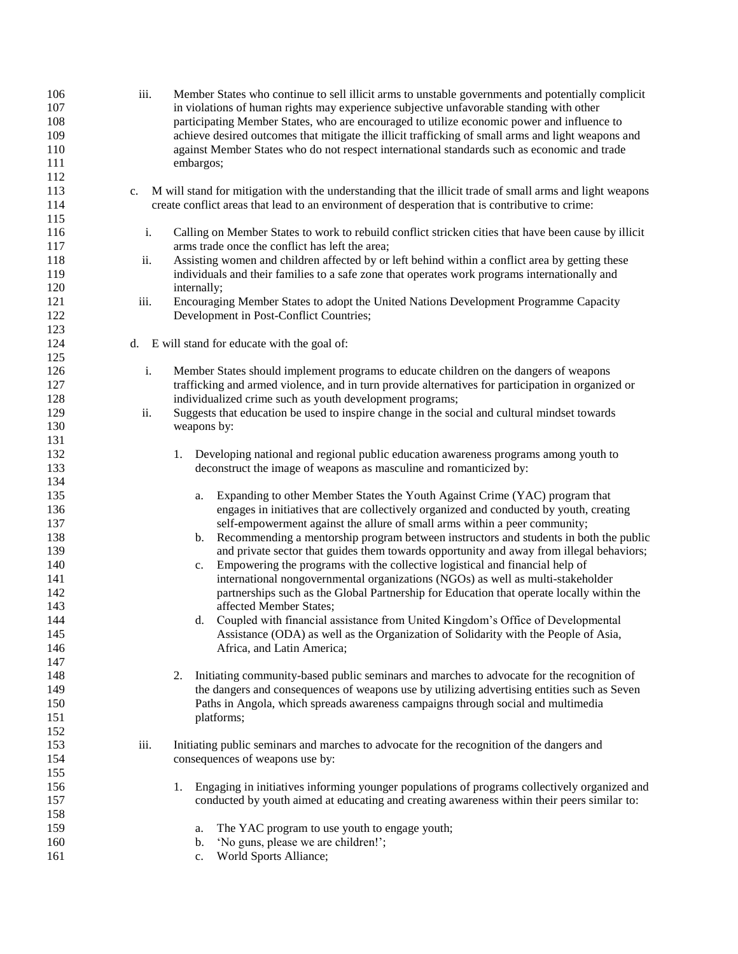| 106<br>107<br>108<br>109<br>110<br>111<br>112 | iii.        | Member States who continue to sell illicit arms to unstable governments and potentially complicit<br>in violations of human rights may experience subjective unfavorable standing with other<br>participating Member States, who are encouraged to utilize economic power and influence to<br>achieve desired outcomes that mitigate the illicit trafficking of small arms and light weapons and<br>against Member States who do not respect international standards such as economic and trade<br>embargos; |
|-----------------------------------------------|-------------|--------------------------------------------------------------------------------------------------------------------------------------------------------------------------------------------------------------------------------------------------------------------------------------------------------------------------------------------------------------------------------------------------------------------------------------------------------------------------------------------------------------|
| 113<br>114<br>115                             | $c_{\cdot}$ | M will stand for mitigation with the understanding that the illicit trade of small arms and light weapons<br>create conflict areas that lead to an environment of desperation that is contributive to crime:                                                                                                                                                                                                                                                                                                 |
| 116<br>117                                    | i.          | Calling on Member States to work to rebuild conflict stricken cities that have been cause by illicit<br>arms trade once the conflict has left the area;                                                                                                                                                                                                                                                                                                                                                      |
| 118                                           | ii.         | Assisting women and children affected by or left behind within a conflict area by getting these                                                                                                                                                                                                                                                                                                                                                                                                              |
| 119<br>120                                    |             | individuals and their families to a safe zone that operates work programs internationally and<br>internally;                                                                                                                                                                                                                                                                                                                                                                                                 |
| 121                                           | iii.        | Encouraging Member States to adopt the United Nations Development Programme Capacity                                                                                                                                                                                                                                                                                                                                                                                                                         |
| 122<br>123                                    |             | Development in Post-Conflict Countries;                                                                                                                                                                                                                                                                                                                                                                                                                                                                      |
| 124                                           |             | d. E will stand for educate with the goal of:                                                                                                                                                                                                                                                                                                                                                                                                                                                                |
| 125                                           |             |                                                                                                                                                                                                                                                                                                                                                                                                                                                                                                              |
| 126                                           | i.          | Member States should implement programs to educate children on the dangers of weapons                                                                                                                                                                                                                                                                                                                                                                                                                        |
| 127                                           |             | trafficking and armed violence, and in turn provide alternatives for participation in organized or                                                                                                                                                                                                                                                                                                                                                                                                           |
| 128                                           |             | individualized crime such as youth development programs;                                                                                                                                                                                                                                                                                                                                                                                                                                                     |
| 129                                           | ii.         | Suggests that education be used to inspire change in the social and cultural mindset towards                                                                                                                                                                                                                                                                                                                                                                                                                 |
| 130                                           |             | weapons by:                                                                                                                                                                                                                                                                                                                                                                                                                                                                                                  |
| 131                                           |             |                                                                                                                                                                                                                                                                                                                                                                                                                                                                                                              |
| 132                                           |             | Developing national and regional public education awareness programs among youth to<br>1.                                                                                                                                                                                                                                                                                                                                                                                                                    |
| 133                                           |             | deconstruct the image of weapons as masculine and romanticized by:                                                                                                                                                                                                                                                                                                                                                                                                                                           |
| 134                                           |             |                                                                                                                                                                                                                                                                                                                                                                                                                                                                                                              |
| 135                                           |             | Expanding to other Member States the Youth Against Crime (YAC) program that<br>a.                                                                                                                                                                                                                                                                                                                                                                                                                            |
| 136                                           |             | engages in initiatives that are collectively organized and conducted by youth, creating                                                                                                                                                                                                                                                                                                                                                                                                                      |
| 137                                           |             | self-empowerment against the allure of small arms within a peer community;                                                                                                                                                                                                                                                                                                                                                                                                                                   |
| 138                                           |             | Recommending a mentorship program between instructors and students in both the public<br>b.                                                                                                                                                                                                                                                                                                                                                                                                                  |
| 139                                           |             | and private sector that guides them towards opportunity and away from illegal behaviors;                                                                                                                                                                                                                                                                                                                                                                                                                     |
| 140                                           |             | Empowering the programs with the collective logistical and financial help of<br>c.                                                                                                                                                                                                                                                                                                                                                                                                                           |
| 141                                           |             | international nongovernmental organizations (NGOs) as well as multi-stakeholder                                                                                                                                                                                                                                                                                                                                                                                                                              |
| 142                                           |             | partnerships such as the Global Partnership for Education that operate locally within the                                                                                                                                                                                                                                                                                                                                                                                                                    |
| 143                                           |             | affected Member States;                                                                                                                                                                                                                                                                                                                                                                                                                                                                                      |
| 144                                           |             | d. Coupled with financial assistance from United Kingdom's Office of Developmental                                                                                                                                                                                                                                                                                                                                                                                                                           |
| 145                                           |             | Assistance (ODA) as well as the Organization of Solidarity with the People of Asia,                                                                                                                                                                                                                                                                                                                                                                                                                          |
| 146                                           |             | Africa, and Latin America;                                                                                                                                                                                                                                                                                                                                                                                                                                                                                   |
| 147                                           |             |                                                                                                                                                                                                                                                                                                                                                                                                                                                                                                              |
| 148                                           |             | Initiating community-based public seminars and marches to advocate for the recognition of<br>2.                                                                                                                                                                                                                                                                                                                                                                                                              |
|                                               |             | the dangers and consequences of weapons use by utilizing advertising entities such as Seven                                                                                                                                                                                                                                                                                                                                                                                                                  |
| 149                                           |             |                                                                                                                                                                                                                                                                                                                                                                                                                                                                                                              |
| 150                                           |             | Paths in Angola, which spreads awareness campaigns through social and multimedia                                                                                                                                                                                                                                                                                                                                                                                                                             |
| 151                                           |             | platforms;                                                                                                                                                                                                                                                                                                                                                                                                                                                                                                   |
| 152                                           |             |                                                                                                                                                                                                                                                                                                                                                                                                                                                                                                              |
| 153                                           | iii.        | Initiating public seminars and marches to advocate for the recognition of the dangers and                                                                                                                                                                                                                                                                                                                                                                                                                    |
| 154                                           |             | consequences of weapons use by:                                                                                                                                                                                                                                                                                                                                                                                                                                                                              |
| 155                                           |             |                                                                                                                                                                                                                                                                                                                                                                                                                                                                                                              |
| 156                                           |             | Engaging in initiatives informing younger populations of programs collectively organized and<br>1.                                                                                                                                                                                                                                                                                                                                                                                                           |
| 157                                           |             | conducted by youth aimed at educating and creating awareness within their peers similar to:                                                                                                                                                                                                                                                                                                                                                                                                                  |
| 158                                           |             |                                                                                                                                                                                                                                                                                                                                                                                                                                                                                                              |
| 159                                           |             | The YAC program to use youth to engage youth;<br>a.                                                                                                                                                                                                                                                                                                                                                                                                                                                          |
| 160                                           |             | 'No guns, please we are children!';<br>b.                                                                                                                                                                                                                                                                                                                                                                                                                                                                    |
| 161                                           |             | World Sports Alliance;<br>c.                                                                                                                                                                                                                                                                                                                                                                                                                                                                                 |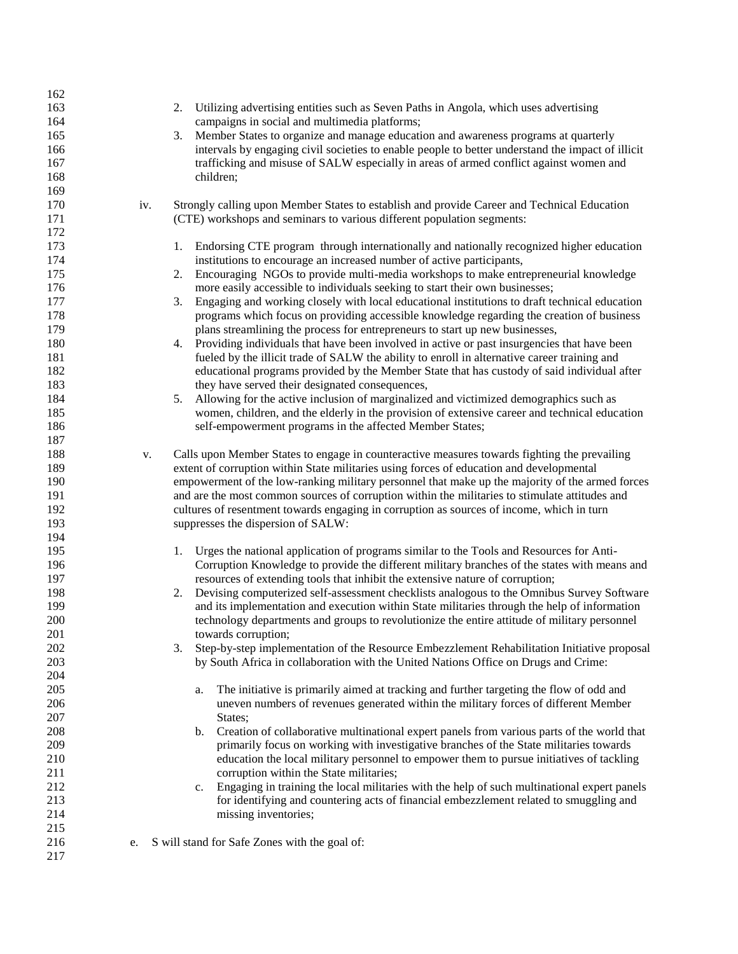| 162 |     |                                                                                                     |
|-----|-----|-----------------------------------------------------------------------------------------------------|
| 163 |     | 2.<br>Utilizing advertising entities such as Seven Paths in Angola, which uses advertising          |
| 164 |     | campaigns in social and multimedia platforms;                                                       |
| 165 |     | Member States to organize and manage education and awareness programs at quarterly<br>3.            |
| 166 |     | intervals by engaging civil societies to enable people to better understand the impact of illicit   |
| 167 |     | trafficking and misuse of SALW especially in areas of armed conflict against women and              |
| 168 |     | children;                                                                                           |
| 169 |     |                                                                                                     |
| 170 |     | Strongly calling upon Member States to establish and provide Career and Technical Education         |
|     | iv. |                                                                                                     |
| 171 |     | (CTE) workshops and seminars to various different population segments:                              |
| 172 |     |                                                                                                     |
| 173 |     | Endorsing CTE program through internationally and nationally recognized higher education<br>1.      |
| 174 |     | institutions to encourage an increased number of active participants,                               |
| 175 |     | Encouraging NGOs to provide multi-media workshops to make entrepreneurial knowledge<br>2.           |
| 176 |     | more easily accessible to individuals seeking to start their own businesses;                        |
| 177 |     | 3.<br>Engaging and working closely with local educational institutions to draft technical education |
| 178 |     | programs which focus on providing accessible knowledge regarding the creation of business           |
| 179 |     | plans streamlining the process for entrepreneurs to start up new businesses,                        |
| 180 |     | Providing individuals that have been involved in active or past insurgencies that have been<br>4.   |
| 181 |     | fueled by the illicit trade of SALW the ability to enroll in alternative career training and        |
| 182 |     | educational programs provided by the Member State that has custody of said individual after         |
| 183 |     | they have served their designated consequences,                                                     |
| 184 |     | Allowing for the active inclusion of marginalized and victimized demographics such as<br>5.         |
| 185 |     | women, children, and the elderly in the provision of extensive career and technical education       |
| 186 |     | self-empowerment programs in the affected Member States;                                            |
| 187 |     |                                                                                                     |
| 188 | v.  | Calls upon Member States to engage in counteractive measures towards fighting the prevailing        |
| 189 |     | extent of corruption within State militaries using forces of education and developmental            |
| 190 |     | empowerment of the low-ranking military personnel that make up the majority of the armed forces     |
| 191 |     | and are the most common sources of corruption within the militaries to stimulate attitudes and      |
| 192 |     |                                                                                                     |
|     |     | cultures of resentment towards engaging in corruption as sources of income, which in turn           |
| 193 |     | suppresses the dispersion of SALW:                                                                  |
| 194 |     |                                                                                                     |
| 195 |     | Urges the national application of programs similar to the Tools and Resources for Anti-<br>1.       |
| 196 |     | Corruption Knowledge to provide the different military branches of the states with means and        |
| 197 |     | resources of extending tools that inhibit the extensive nature of corruption;                       |
| 198 |     | Devising computerized self-assessment checklists analogous to the Omnibus Survey Software<br>2.     |
| 199 |     | and its implementation and execution within State militaries through the help of information        |
| 200 |     | technology departments and groups to revolutionize the entire attitude of military personnel        |
| 201 |     | towards corruption;                                                                                 |
| 202 |     | 3.<br>Step-by-step implementation of the Resource Embezzlement Rehabilitation Initiative proposal   |
| 203 |     | by South Africa in collaboration with the United Nations Office on Drugs and Crime:                 |
| 204 |     |                                                                                                     |
| 205 |     | The initiative is primarily aimed at tracking and further targeting the flow of odd and<br>a.       |
| 206 |     | uneven numbers of revenues generated within the military forces of different Member                 |
| 207 |     | States;                                                                                             |
| 208 |     | Creation of collaborative multinational expert panels from various parts of the world that<br>b.    |
| 209 |     | primarily focus on working with investigative branches of the State militaries towards              |
| 210 |     | education the local military personnel to empower them to pursue initiatives of tackling            |
| 211 |     | corruption within the State militaries;                                                             |
| 212 |     | Engaging in training the local militaries with the help of such multinational expert panels<br>c.   |
| 213 |     | for identifying and countering acts of financial embezzlement related to smuggling and              |
| 214 |     | missing inventories;                                                                                |
|     |     |                                                                                                     |
| 215 |     |                                                                                                     |
| 216 | e.  | S will stand for Safe Zones with the goal of:                                                       |
| 217 |     |                                                                                                     |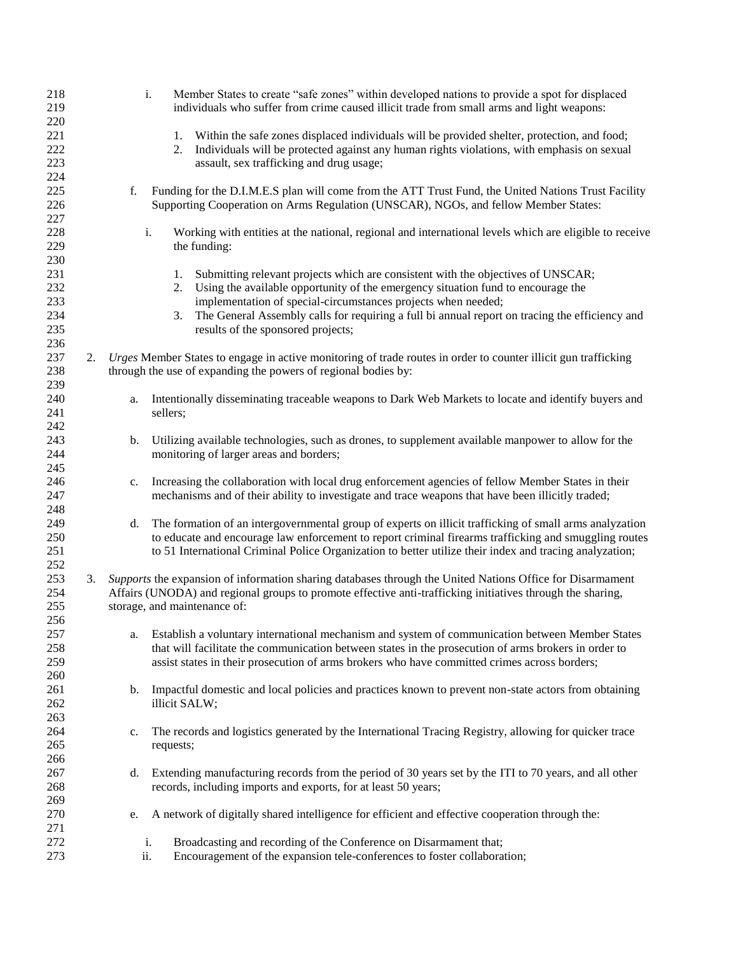| 218<br>219 |    |     | Member States to create "safe zones" within developed nations to provide a spot for displaced<br>i.<br>individuals who suffer from crime caused illicit trade from small arms and light weapons:                 |
|------------|----|-----|------------------------------------------------------------------------------------------------------------------------------------------------------------------------------------------------------------------|
| 220        |    |     |                                                                                                                                                                                                                  |
| 221        |    |     | Within the safe zones displaced individuals will be provided shelter, protection, and food;<br>1.                                                                                                                |
| 222<br>223 |    |     | Individuals will be protected against any human rights violations, with emphasis on sexual<br>2.<br>assault, sex trafficking and drug usage;                                                                     |
| 224        |    |     |                                                                                                                                                                                                                  |
| 225<br>226 |    | f.  | Funding for the D.I.M.E.S plan will come from the ATT Trust Fund, the United Nations Trust Facility<br>Supporting Cooperation on Arms Regulation (UNSCAR), NGOs, and fellow Member States:                       |
| 227        |    |     |                                                                                                                                                                                                                  |
| 228        |    |     | i.<br>Working with entities at the national, regional and international levels which are eligible to receive                                                                                                     |
| 229        |    |     | the funding:                                                                                                                                                                                                     |
| 230        |    |     |                                                                                                                                                                                                                  |
| 231        |    |     | Submitting relevant projects which are consistent with the objectives of UNSCAR;<br>1.                                                                                                                           |
| 232        |    |     | Using the available opportunity of the emergency situation fund to encourage the<br>2.                                                                                                                           |
| 233        |    |     | implementation of special-circumstances projects when needed;                                                                                                                                                    |
| 234        |    |     | The General Assembly calls for requiring a full bi annual report on tracing the efficiency and<br>3.                                                                                                             |
| 235        |    |     | results of the sponsored projects;                                                                                                                                                                               |
| 236        |    |     |                                                                                                                                                                                                                  |
| 237        | 2. |     | Urges Member States to engage in active monitoring of trade routes in order to counter illicit gun trafficking                                                                                                   |
| 238        |    |     | through the use of expanding the powers of regional bodies by:                                                                                                                                                   |
| 239        |    |     |                                                                                                                                                                                                                  |
| 240        |    | a.  | Intentionally disseminating traceable weapons to Dark Web Markets to locate and identify buyers and                                                                                                              |
| 241        |    |     | sellers;                                                                                                                                                                                                         |
| 242        |    |     |                                                                                                                                                                                                                  |
| 243        |    | b.  | Utilizing available technologies, such as drones, to supplement available manpower to allow for the                                                                                                              |
| 244        |    |     | monitoring of larger areas and borders;                                                                                                                                                                          |
| 245        |    |     |                                                                                                                                                                                                                  |
| 246        |    | c.  | Increasing the collaboration with local drug enforcement agencies of fellow Member States in their                                                                                                               |
| 247        |    |     | mechanisms and of their ability to investigate and trace weapons that have been illicitly traded;                                                                                                                |
| 248        |    |     |                                                                                                                                                                                                                  |
| 249        |    | d.  | The formation of an intergovernmental group of experts on illicit trafficking of small arms analyzation                                                                                                          |
| 250<br>251 |    |     | to educate and encourage law enforcement to report criminal firearms trafficking and smuggling routes<br>to 51 International Criminal Police Organization to better utilize their index and tracing analyzation; |
| 252        |    |     |                                                                                                                                                                                                                  |
| 253        | 3. |     | Supports the expansion of information sharing databases through the United Nations Office for Disarmament                                                                                                        |
| 254        |    |     | Affairs (UNODA) and regional groups to promote effective anti-trafficking initiatives through the sharing,                                                                                                       |
| 255        |    |     | storage, and maintenance of:                                                                                                                                                                                     |
| 256        |    |     |                                                                                                                                                                                                                  |
| 257        |    | a.  | Establish a voluntary international mechanism and system of communication between Member States                                                                                                                  |
| 258        |    |     | that will facilitate the communication between states in the prosecution of arms brokers in order to                                                                                                             |
| 259        |    |     | assist states in their prosecution of arms brokers who have committed crimes across borders;                                                                                                                     |
| 260        |    |     |                                                                                                                                                                                                                  |
| 261        |    | b.  | Impactful domestic and local policies and practices known to prevent non-state actors from obtaining                                                                                                             |
| 262        |    |     | illicit SALW;                                                                                                                                                                                                    |
| 263        |    |     |                                                                                                                                                                                                                  |
| 264        |    | c.  | The records and logistics generated by the International Tracing Registry, allowing for quicker trace                                                                                                            |
| 265        |    |     | requests;                                                                                                                                                                                                        |
| 266        |    |     |                                                                                                                                                                                                                  |
| 267        |    | d.  | Extending manufacturing records from the period of 30 years set by the ITI to 70 years, and all other                                                                                                            |
| 268        |    |     | records, including imports and exports, for at least 50 years;                                                                                                                                                   |
| 269        |    |     |                                                                                                                                                                                                                  |
| 270        |    | e.  | A network of digitally shared intelligence for efficient and effective cooperation through the:                                                                                                                  |
| 271        |    |     |                                                                                                                                                                                                                  |
| 272        |    |     | Broadcasting and recording of the Conference on Disarmament that;<br>i.                                                                                                                                          |
| 273        |    | ii. | Encouragement of the expansion tele-conferences to foster collaboration;                                                                                                                                         |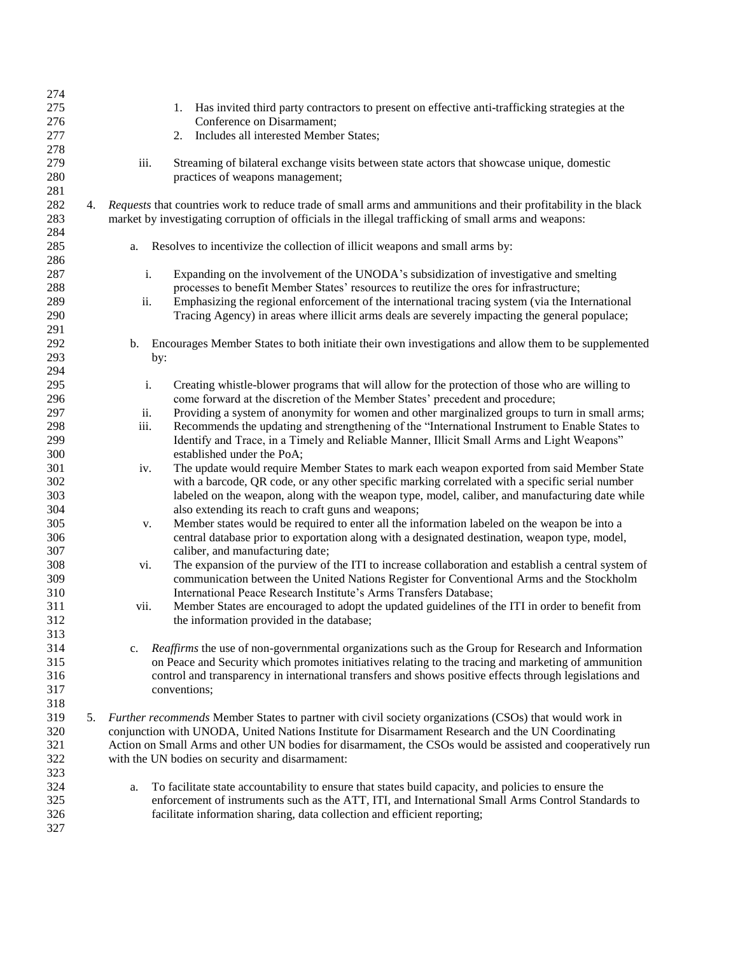| 274 |    |             |                                                                                                                 |
|-----|----|-------------|-----------------------------------------------------------------------------------------------------------------|
| 275 |    |             | Has invited third party contractors to present on effective anti-trafficking strategies at the<br>1.            |
| 276 |    |             | Conference on Disarmament;                                                                                      |
| 277 |    |             | Includes all interested Member States;<br>2.                                                                    |
| 278 |    |             |                                                                                                                 |
| 279 |    | iii.        | Streaming of bilateral exchange visits between state actors that showcase unique, domestic                      |
| 280 |    |             | practices of weapons management;                                                                                |
| 281 |    |             |                                                                                                                 |
| 282 | 4. |             | Requests that countries work to reduce trade of small arms and ammunitions and their profitability in the black |
| 283 |    |             | market by investigating corruption of officials in the illegal trafficking of small arms and weapons:           |
| 284 |    |             |                                                                                                                 |
| 285 |    | a.          | Resolves to incentivize the collection of illicit weapons and small arms by:                                    |
| 286 |    |             |                                                                                                                 |
| 287 |    | i.          | Expanding on the involvement of the UNODA's subsidization of investigative and smelting                         |
| 288 |    |             | processes to benefit Member States' resources to reutilize the ores for infrastructure;                         |
| 289 |    | ii.         | Emphasizing the regional enforcement of the international tracing system (via the International                 |
| 290 |    |             | Tracing Agency) in areas where illicit arms deals are severely impacting the general populace;                  |
| 291 |    |             |                                                                                                                 |
| 292 |    | b.          | Encourages Member States to both initiate their own investigations and allow them to be supplemented            |
| 293 |    |             | by:                                                                                                             |
| 294 |    |             |                                                                                                                 |
| 295 |    | i.          | Creating whistle-blower programs that will allow for the protection of those who are willing to                 |
| 296 |    |             | come forward at the discretion of the Member States' precedent and procedure;                                   |
| 297 |    | ii.         | Providing a system of anonymity for women and other marginalized groups to turn in small arms;                  |
| 298 |    | iii.        | Recommends the updating and strengthening of the "International Instrument to Enable States to                  |
| 299 |    |             | Identify and Trace, in a Timely and Reliable Manner, Illicit Small Arms and Light Weapons"                      |
| 300 |    |             | established under the PoA;                                                                                      |
| 301 |    | iv.         | The update would require Member States to mark each weapon exported from said Member State                      |
| 302 |    |             | with a barcode, QR code, or any other specific marking correlated with a specific serial number                 |
| 303 |    |             | labeled on the weapon, along with the weapon type, model, caliber, and manufacturing date while                 |
| 304 |    |             | also extending its reach to craft guns and weapons;                                                             |
| 305 |    | v.          | Member states would be required to enter all the information labeled on the weapon be into a                    |
| 306 |    |             | central database prior to exportation along with a designated destination, weapon type, model,                  |
| 307 |    |             | caliber, and manufacturing date;                                                                                |
| 308 |    | vi.         | The expansion of the purview of the ITI to increase collaboration and establish a central system of             |
| 309 |    |             | communication between the United Nations Register for Conventional Arms and the Stockholm                       |
| 310 |    |             | International Peace Research Institute's Arms Transfers Database;                                               |
| 311 |    | vii.        | Member States are encouraged to adopt the updated guidelines of the ITI in order to benefit from                |
| 312 |    |             | the information provided in the database;                                                                       |
| 313 |    |             |                                                                                                                 |
| 314 |    | $c_{\cdot}$ | Reaffirms the use of non-governmental organizations such as the Group for Research and Information              |
| 315 |    |             | on Peace and Security which promotes initiatives relating to the tracing and marketing of ammunition            |
| 316 |    |             | control and transparency in international transfers and shows positive effects through legislations and         |
| 317 |    |             | conventions;                                                                                                    |
| 318 |    |             |                                                                                                                 |
| 319 | 5. |             | Further recommends Member States to partner with civil society organizations (CSOs) that would work in          |
| 320 |    |             | conjunction with UNODA, United Nations Institute for Disarmament Research and the UN Coordinating               |
| 321 |    |             | Action on Small Arms and other UN bodies for disarmament, the CSOs would be assisted and cooperatively run      |
| 322 |    |             | with the UN bodies on security and disarmament:                                                                 |
| 323 |    |             |                                                                                                                 |
| 324 |    | a.          | To facilitate state accountability to ensure that states build capacity, and policies to ensure the             |
| 325 |    |             | enforcement of instruments such as the ATT, ITI, and International Small Arms Control Standards to              |
| 326 |    |             | facilitate information sharing, data collection and efficient reporting;                                        |
| 327 |    |             |                                                                                                                 |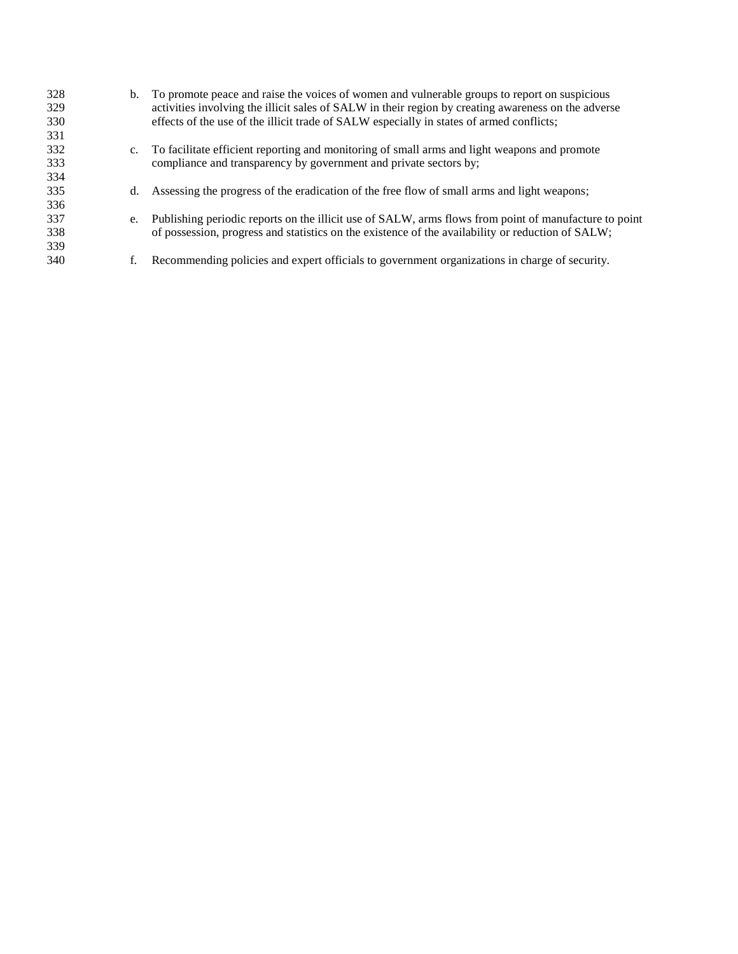| 328 | b.          | To promote peace and raise the voices of women and vulnerable groups to report on suspicious          |
|-----|-------------|-------------------------------------------------------------------------------------------------------|
| 329 |             | activities involving the illicit sales of SALW in their region by creating awareness on the adverse   |
| 330 |             | effects of the use of the illicit trade of SALW especially in states of armed conflicts;              |
| 331 |             |                                                                                                       |
| 332 | $c_{\cdot}$ | To facilitate efficient reporting and monitoring of small arms and light weapons and promote          |
| 333 |             | compliance and transparency by government and private sectors by;                                     |
| 334 |             |                                                                                                       |
| 335 | d.          | Assessing the progress of the eradication of the free flow of small arms and light weapons;           |
| 336 |             |                                                                                                       |
| 337 | e.          | Publishing periodic reports on the illicit use of SALW, arms flows from point of manufacture to point |
| 338 |             | of possession, progress and statistics on the existence of the availability or reduction of SALW;     |
| 339 |             |                                                                                                       |
| 340 | f.          | Recommending policies and expert officials to government organizations in charge of security.         |
|     |             |                                                                                                       |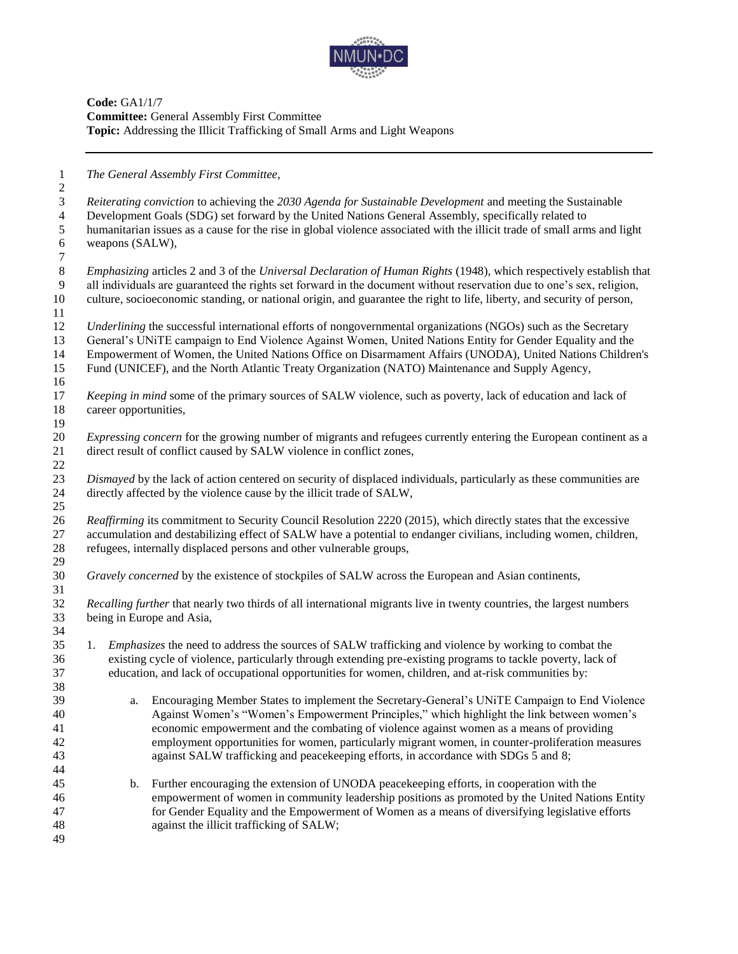

**Code:** GA1/1/7 **Committee:** General Assembly First Committee **Topic:** Addressing the Illicit Trafficking of Small Arms and Light Weapons

 *The General Assembly First Committee, Reiterating conviction* to achieving the *2030 Agenda for Sustainable Development* and meeting the Sustainable Development Goals (SDG) set forward by the United Nations General Assembly, specifically related to humanitarian issues as a cause for the rise in global violence associated with the illicit trade of small arms and light weapons (SALW), *Emphasizing* articles 2 and 3 of the *Universal Declaration of Human Rights* (1948), which respectively establish that all individuals are guaranteed the rights set forward in the document without reservation due to one's sex, religion, culture, socioeconomic standing, or national origin, and guarantee the right to life, liberty, and security of person, *Underlining* the successful international efforts of nongovernmental organizations (NGOs) such as the Secretary General's UNiTE campaign to End Violence Against Women, United Nations Entity for Gender Equality and the Empowerment of Women, the United Nations Office on Disarmament Affairs (UNODA), United Nations Children's Fund (UNICEF), and the North Atlantic Treaty Organization (NATO) Maintenance and Supply Agency, *Keeping in mind* some of the primary sources of SALW violence, such as poverty, lack of education and lack of career opportunities, *Expressing concern* for the growing number of migrants and refugees currently entering the European continent as a direct result of conflict caused by SALW violence in conflict zones,  $rac{22}{23}$  *Dismayed* by the lack of action centered on security of displaced individuals, particularly as these communities are 24 directly affected by the violence cause by the illicit trade of SALW. *Reaffirming* its commitment to Security Council Resolution 2220 (2015), which directly states that the excessive accumulation and destabilizing effect of SALW have a potential to endanger civilians, including women, children, refugees, internally displaced persons and other vulnerable groups, *Gravely concerned* by the existence of stockpiles of SALW across the European and Asian continents, *Recalling further* that nearly two thirds of all international migrants live in twenty countries, the largest numbers being in Europe and Asia, 1. *Emphasizes* the need to address the sources of SALW trafficking and violence by working to combat the existing cycle of violence, particularly through extending pre-existing programs to tackle poverty, lack of education, and lack of occupational opportunities for women, children, and at-risk communities by: a. Encouraging Member States to implement the Secretary-General's UNiTE Campaign to End Violence Against Women's "Women's Empowerment Principles," which highlight the link between women's economic empowerment and the combating of violence against women as a means of providing employment opportunities for women, particularly migrant women, in counter-proliferation measures against SALW trafficking and peacekeeping efforts, in accordance with SDGs 5 and 8; b. Further encouraging the extension of UNODA peacekeeping efforts, in cooperation with the empowerment of women in community leadership positions as promoted by the United Nations Entity for Gender Equality and the Empowerment of Women as a means of diversifying legislative efforts against the illicit trafficking of SALW;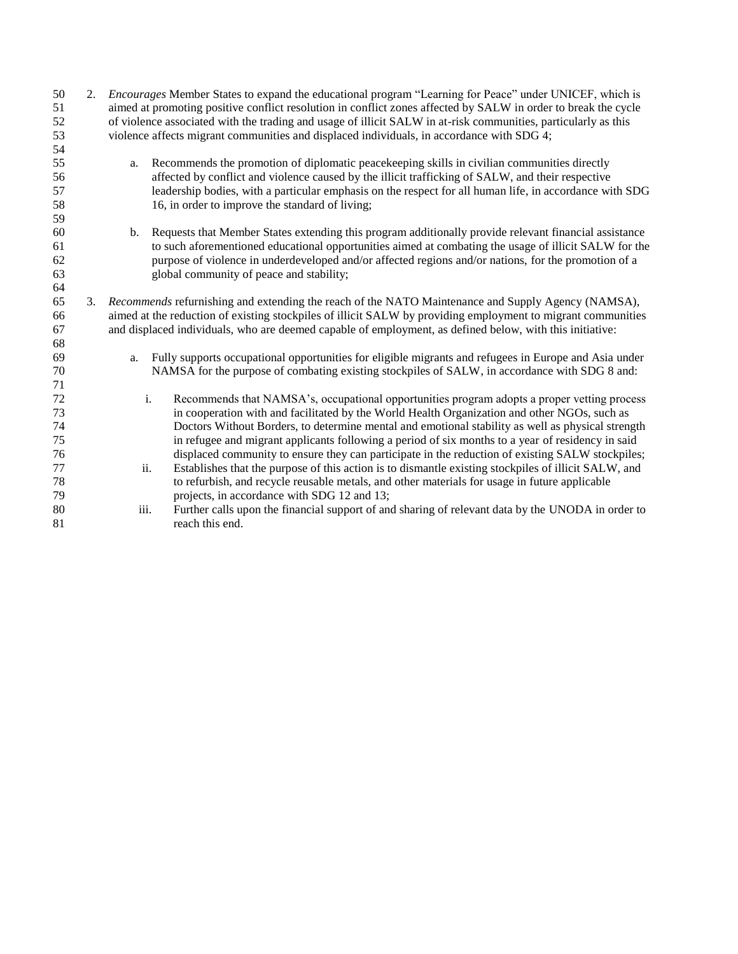| 50<br>51 | 2. | <i>Encourages</i> Member States to expand the educational program "Learning for Peace" under UNICEF, which is<br>aimed at promoting positive conflict resolution in conflict zones affected by SALW in order to break the cycle |                                                                                                         |  |
|----------|----|---------------------------------------------------------------------------------------------------------------------------------------------------------------------------------------------------------------------------------|---------------------------------------------------------------------------------------------------------|--|
| 52       |    | of violence associated with the trading and usage of illicit SALW in at-risk communities, particularly as this                                                                                                                  |                                                                                                         |  |
| 53       |    | violence affects migrant communities and displaced individuals, in accordance with SDG 4;                                                                                                                                       |                                                                                                         |  |
| 54<br>55 |    | a.                                                                                                                                                                                                                              | Recommends the promotion of diplomatic peacekeeping skills in civilian communities directly             |  |
| 56       |    |                                                                                                                                                                                                                                 | affected by conflict and violence caused by the illicit trafficking of SALW, and their respective       |  |
| 57       |    |                                                                                                                                                                                                                                 | leadership bodies, with a particular emphasis on the respect for all human life, in accordance with SDG |  |
| 58       |    |                                                                                                                                                                                                                                 | 16, in order to improve the standard of living;                                                         |  |
| 59       |    |                                                                                                                                                                                                                                 |                                                                                                         |  |
| 60       |    | b.                                                                                                                                                                                                                              | Requests that Member States extending this program additionally provide relevant financial assistance   |  |
| 61       |    |                                                                                                                                                                                                                                 | to such aforementioned educational opportunities aimed at combating the usage of illicit SALW for the   |  |
| 62       |    |                                                                                                                                                                                                                                 | purpose of violence in underdeveloped and/or affected regions and/or nations, for the promotion of a    |  |
| 63       |    |                                                                                                                                                                                                                                 | global community of peace and stability;                                                                |  |
| 64       |    |                                                                                                                                                                                                                                 |                                                                                                         |  |
| 65       | 3. | Recommends refurnishing and extending the reach of the NATO Maintenance and Supply Agency (NAMSA),                                                                                                                              |                                                                                                         |  |
| 66       |    | aimed at the reduction of existing stockpiles of illicit SALW by providing employment to migrant communities                                                                                                                    |                                                                                                         |  |
| 67       |    | and displaced individuals, who are deemed capable of employment, as defined below, with this initiative:                                                                                                                        |                                                                                                         |  |
| 68       |    |                                                                                                                                                                                                                                 |                                                                                                         |  |
| 69       |    | Fully supports occupational opportunities for eligible migrants and refugees in Europe and Asia under<br>a.                                                                                                                     |                                                                                                         |  |
| 70       |    |                                                                                                                                                                                                                                 | NAMSA for the purpose of combating existing stockpiles of SALW, in accordance with SDG 8 and:           |  |
| 71       |    |                                                                                                                                                                                                                                 |                                                                                                         |  |
| 72       |    |                                                                                                                                                                                                                                 | i.<br>Recommends that NAMSA's, occupational opportunities program adopts a proper vetting process       |  |
| 73       |    |                                                                                                                                                                                                                                 | in cooperation with and facilitated by the World Health Organization and other NGOs, such as            |  |
| 74       |    |                                                                                                                                                                                                                                 | Doctors Without Borders, to determine mental and emotional stability as well as physical strength       |  |
| 75       |    |                                                                                                                                                                                                                                 | in refugee and migrant applicants following a period of six months to a year of residency in said       |  |
| 76       |    |                                                                                                                                                                                                                                 | displaced community to ensure they can participate in the reduction of existing SALW stockpiles;        |  |
| 77       |    | ii.                                                                                                                                                                                                                             | Establishes that the purpose of this action is to dismantle existing stockpiles of illicit SALW, and    |  |
| 78       |    |                                                                                                                                                                                                                                 | to refurbish, and recycle reusable metals, and other materials for usage in future applicable           |  |
| 79       |    |                                                                                                                                                                                                                                 | projects, in accordance with SDG 12 and 13;                                                             |  |
| 80       |    | iii.                                                                                                                                                                                                                            | Further calls upon the financial support of and sharing of relevant data by the UNODA in order to       |  |
| 81       |    |                                                                                                                                                                                                                                 | reach this end.                                                                                         |  |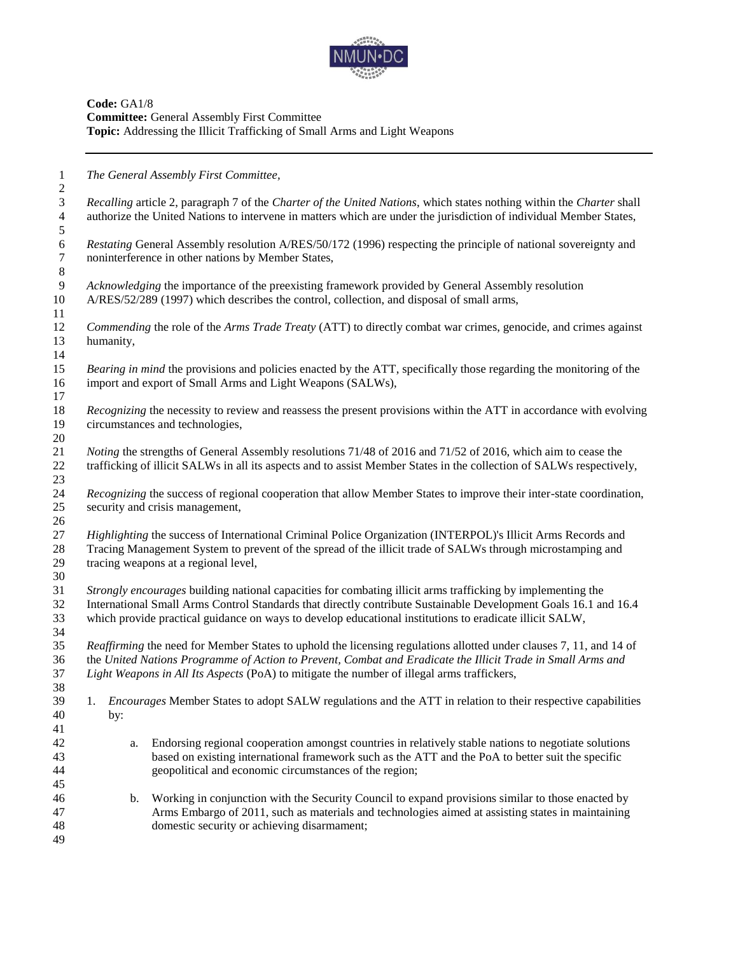

**Code:** GA1/8 **Committee:** General Assembly First Committee **Topic:** Addressing the Illicit Trafficking of Small Arms and Light Weapons

*The General Assembly First Committee,*

 *Recalling* article 2, paragraph 7 of the *Charter of the United Nations*, which states nothing within the *Charter* shall authorize the United Nations to intervene in matters which are under the jurisdiction of individual Member States,

*Restating* General Assembly resolution A/RES/50/172 (1996) respecting the principle of national sovereignty and noninterference in other nations by Member States, noninterference in other nations by Member States,

 *Acknowledging* the importance of the preexisting framework provided by General Assembly resolution A/RES/52/289 (1997) which describes the control, collection, and disposal of small arms, 

 *Commending* the role of the *Arms Trade Treaty* (ATT) to directly combat war crimes, genocide, and crimes against humanity, 

 *Bearing in mind* the provisions and policies enacted by the ATT, specifically those regarding the monitoring of the import and export of Small Arms and Light Weapons (SALWs), 

 *Recognizing* the necessity to review and reassess the present provisions within the ATT in accordance with evolving circumstances and technologies, 

 *Noting* the strengths of General Assembly resolutions 71/48 of 2016 and 71/52 of 2016, which aim to cease the trafficking of illicit SALWs in all its aspects and to assist Member States in the collection of SALWs respectively, 

 *Recognizing* the success of regional cooperation that allow Member States to improve their inter-state coordination, security and crisis management,

 *Highlighting* the success of International Criminal Police Organization (INTERPOL)'s Illicit Arms Records and Tracing Management System to prevent of the spread of the illicit trade of SALWs through microstamping and tracing weapons at a regional level,

 *Strongly encourages* building national capacities for combating illicit arms trafficking by implementing the International Small Arms Control Standards that directly contribute Sustainable Development Goals 16.1 and 16.4 which provide practical guidance on ways to develop educational institutions to eradicate illicit SALW,

 *Reaffirming* the need for Member States to uphold the licensing regulations allotted under clauses 7, 11, and 14 of the *United Nations Programme of Action to Prevent, Combat and Eradicate the Illicit Trade in Small Arms and Light Weapons in All Its Aspects* (PoA) to mitigate the number of illegal arms traffickers,

- 1. *Encourages* Member States to adopt SALW regulations and the ATT in relation to their respective capabilities by:
- a. Endorsing regional cooperation amongst countries in relatively stable nations to negotiate solutions based on existing international framework such as the ATT and the PoA to better suit the specific geopolitical and economic circumstances of the region;
- b. Working in conjunction with the Security Council to expand provisions similar to those enacted by Arms Embargo of 2011, such as materials and technologies aimed at assisting states in maintaining domestic security or achieving disarmament;
-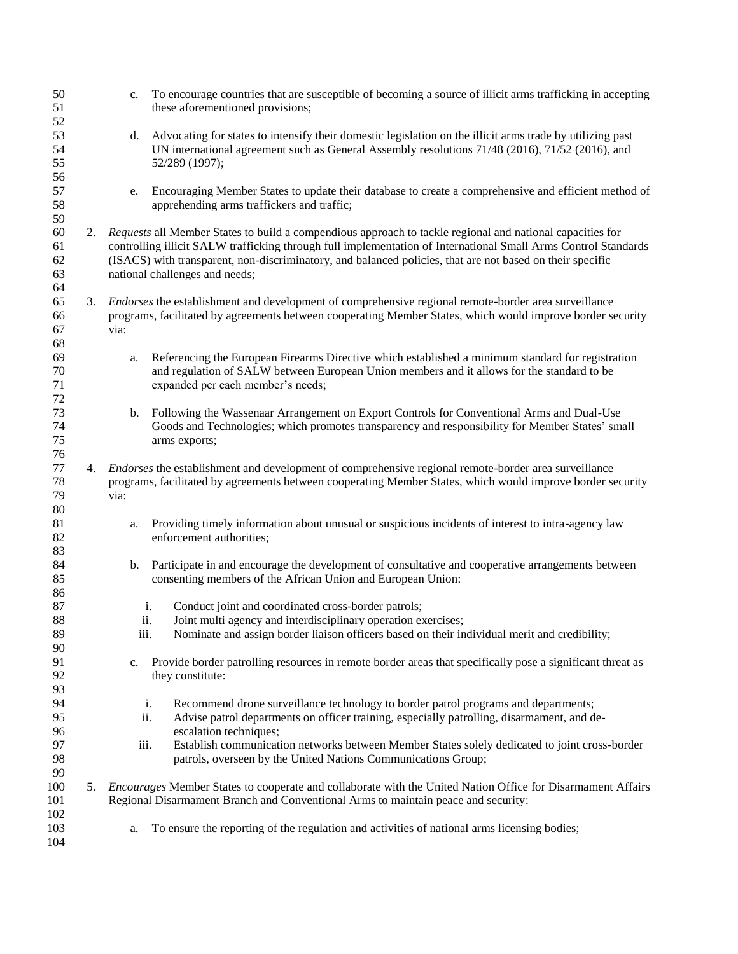| 50<br>51<br>52             |    | c.                                                                                                                                                                                                                                                                                                                                                                            | To encourage countries that are susceptible of becoming a source of illicit arms trafficking in accepting<br>these aforementioned provisions;                                                                                        |  |
|----------------------------|----|-------------------------------------------------------------------------------------------------------------------------------------------------------------------------------------------------------------------------------------------------------------------------------------------------------------------------------------------------------------------------------|--------------------------------------------------------------------------------------------------------------------------------------------------------------------------------------------------------------------------------------|--|
| 53<br>54<br>55<br>56       |    | d.                                                                                                                                                                                                                                                                                                                                                                            | Advocating for states to intensify their domestic legislation on the illicit arms trade by utilizing past<br>UN international agreement such as General Assembly resolutions 71/48 (2016), 71/52 (2016), and<br>52/289 (1997);       |  |
| 57<br>58<br>59             |    | e.                                                                                                                                                                                                                                                                                                                                                                            | Encouraging Member States to update their database to create a comprehensive and efficient method of<br>apprehending arms traffickers and traffic;                                                                                   |  |
| 60<br>61<br>62<br>63<br>64 |    | 2. Requests all Member States to build a compendious approach to tackle regional and national capacities for<br>controlling illicit SALW trafficking through full implementation of International Small Arms Control Standards<br>(ISACS) with transparent, non-discriminatory, and balanced policies, that are not based on their specific<br>national challenges and needs; |                                                                                                                                                                                                                                      |  |
| 65<br>66<br>67<br>68       | 3. | Endorses the establishment and development of comprehensive regional remote-border area surveillance<br>programs, facilitated by agreements between cooperating Member States, which would improve border security<br>via:                                                                                                                                                    |                                                                                                                                                                                                                                      |  |
| 69<br>70<br>71<br>72       |    | a.                                                                                                                                                                                                                                                                                                                                                                            | Referencing the European Firearms Directive which established a minimum standard for registration<br>and regulation of SALW between European Union members and it allows for the standard to be<br>expanded per each member's needs; |  |
| 73<br>74<br>75<br>76       |    | b.                                                                                                                                                                                                                                                                                                                                                                            | Following the Wassenaar Arrangement on Export Controls for Conventional Arms and Dual-Use<br>Goods and Technologies; which promotes transparency and responsibility for Member States' small<br>arms exports;                        |  |
| 77<br>$78\,$<br>79<br>80   | 4. | via:                                                                                                                                                                                                                                                                                                                                                                          | <i>Endorses</i> the establishment and development of comprehensive regional remote-border area surveillance<br>programs, facilitated by agreements between cooperating Member States, which would improve border security            |  |
| 81<br>82<br>83             |    | a.                                                                                                                                                                                                                                                                                                                                                                            | Providing timely information about unusual or suspicious incidents of interest to intra-agency law<br>enforcement authorities;                                                                                                       |  |
| 84<br>85<br>86             |    | b.                                                                                                                                                                                                                                                                                                                                                                            | Participate in and encourage the development of consultative and cooperative arrangements between<br>consenting members of the African Union and European Union:                                                                     |  |
| 87<br>88<br>89<br>90       |    | ii.<br>iii.                                                                                                                                                                                                                                                                                                                                                                   | i.<br>Conduct joint and coordinated cross-border patrols;<br>Joint multi agency and interdisciplinary operation exercises;<br>Nominate and assign border liaison officers based on their individual merit and credibility;           |  |
| 91<br>92<br>93             |    | c.                                                                                                                                                                                                                                                                                                                                                                            | Provide border patrolling resources in remote border areas that specifically pose a significant threat as<br>they constitute:                                                                                                        |  |
| 94<br>95<br>96             |    | ii.                                                                                                                                                                                                                                                                                                                                                                           | Recommend drone surveillance technology to border patrol programs and departments;<br>i.<br>Advise patrol departments on officer training, especially patrolling, disarmament, and de-<br>escalation techniques;                     |  |
| 97<br>98<br>99             |    | iii.                                                                                                                                                                                                                                                                                                                                                                          | Establish communication networks between Member States solely dedicated to joint cross-border<br>patrols, overseen by the United Nations Communications Group;                                                                       |  |
| 100<br>101<br>102          |    |                                                                                                                                                                                                                                                                                                                                                                               | 5. Encourages Member States to cooperate and collaborate with the United Nation Office for Disarmament Affairs<br>Regional Disarmament Branch and Conventional Arms to maintain peace and security:                                  |  |
| 103<br>104                 |    | a.                                                                                                                                                                                                                                                                                                                                                                            | To ensure the reporting of the regulation and activities of national arms licensing bodies;                                                                                                                                          |  |